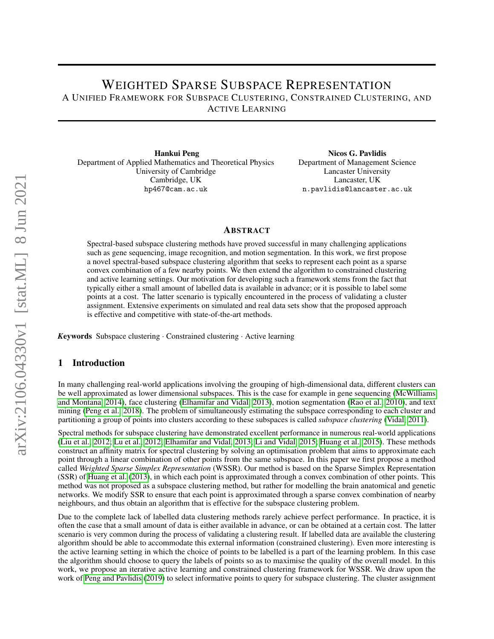# WEIGHTED SPARSE SUBSPACE REPRESENTATION A UNIFIED FRAMEWORK FOR SUBSPACE CLUSTERING, CONSTRAINED CLUSTERING, AND ACTIVE LEARNING

Hankui Peng Department of Applied Mathematics and Theoretical Physics University of Cambridge Cambridge, UK hp467@cam.ac.uk

Nicos G. Pavlidis Department of Management Science Lancaster University Lancaster, UK n.pavlidis@lancaster.ac.uk

#### ABSTRACT

Spectral-based subspace clustering methods have proved successful in many challenging applications such as gene sequencing, image recognition, and motion segmentation. In this work, we first propose a novel spectral-based subspace clustering algorithm that seeks to represent each point as a sparse convex combination of a few nearby points. We then extend the algorithm to constrained clustering and active learning settings. Our motivation for developing such a framework stems from the fact that typically either a small amount of labelled data is available in advance; or it is possible to label some points at a cost. The latter scenario is typically encountered in the process of validating a cluster assignment. Extensive experiments on simulated and real data sets show that the proposed approach is effective and competitive with state-of-the-art methods.

*K*eywords Subspace clustering · Constrained clustering · Active learning

### 1 Introduction

In many challenging real-world applications involving the grouping of high-dimensional data, different clusters can be well approximated as lower dimensional subspaces. This is the case for example in gene sequencing [\(McWilliams](#page-14-0) [and Montana, 2014\)](#page-14-0), face clustering [\(Elhamifar and Vidal, 2013\)](#page-13-0), motion segmentation [\(Rao et al., 2010\)](#page-14-1), and text mining [\(Peng et al., 2018\)](#page-14-2). The problem of simultaneously estimating the subspace corresponding to each cluster and partitioning a group of points into clusters according to these subspaces is called *subspace clustering* [\(Vidal, 2011\)](#page-14-3).

Spectral methods for subspace clustering have demonstrated excellent performance in numerous real-world applications [\(Liu et al., 2012;](#page-14-4) [Lu et al., 2012;](#page-14-5) [Elhamifar and Vidal, 2013;](#page-13-0) [Li and Vidal, 2015;](#page-13-1) [Huang et al., 2015\)](#page-13-2). These methods construct an affinity matrix for spectral clustering by solving an optimisation problem that aims to approximate each point through a linear combination of other points from the same subspace. In this paper we first propose a method called *Weighted Sparse Simplex Representation* (WSSR). Our method is based on the Sparse Simplex Representation (SSR) of [Huang et al.](#page-13-3) [\(2013\)](#page-13-3), in which each point is approximated through a convex combination of other points. This method was not proposed as a subspace clustering method, but rather for modelling the brain anatomical and genetic networks. We modify SSR to ensure that each point is approximated through a sparse convex combination of nearby neighbours, and thus obtain an algorithm that is effective for the subspace clustering problem.

Due to the complete lack of labelled data clustering methods rarely achieve perfect performance. In practice, it is often the case that a small amount of data is either available in advance, or can be obtained at a certain cost. The latter scenario is very common during the process of validating a clustering result. If labelled data are available the clustering algorithm should be able to accommodate this external information (constrained clustering). Even more interesting is the active learning setting in which the choice of points to be labelled is a part of the learning problem. In this case the algorithm should choose to query the labels of points so as to maximise the quality of the overall model. In this work, we propose an iterative active learning and constrained clustering framework for WSSR. We draw upon the work of [Peng and Pavlidis](#page-14-6) [\(2019\)](#page-14-6) to select informative points to query for subspace clustering. The cluster assignment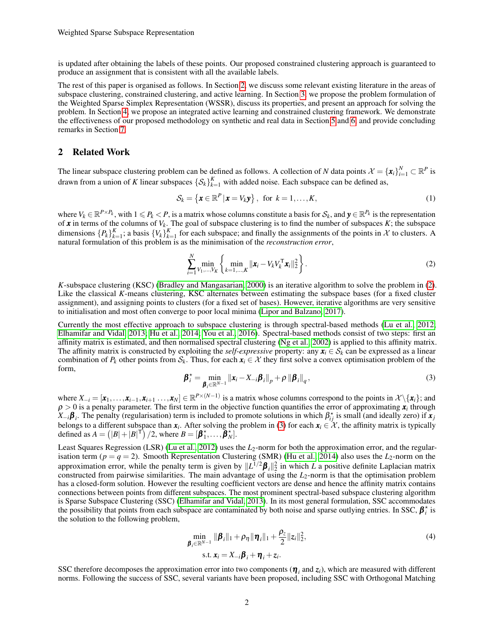is updated after obtaining the labels of these points. Our proposed constrained clustering approach is guaranteed to produce an assignment that is consistent with all the available labels.

The rest of this paper is organised as follows. In Section [2,](#page-1-0) we discuss some relevant existing literature in the areas of subspace clustering, constrained clustering, and active learning. In Section [3,](#page-2-0) we propose the problem formulation of the Weighted Sparse Simplex Representation (WSSR), discuss its properties, and present an approach for solving the problem. In Section [4,](#page-5-0) we propose an integrated active learning and constrained clustering framework. We demonstrate the effectiveness of our proposed methodology on synthetic and real data in Section [5](#page-6-0) and [6,](#page-8-0) and provide concluding remarks in Section [7.](#page-13-4)

#### <span id="page-1-0"></span>2 Related Work

The linear subspace clustering problem can be defined as follows. A collection of *N* data points  $\mathcal{X} = {\{\mathbf{x}_i\}}_{i=1}^N \subset \mathbb{R}^P$  is drawn from a union of *K* linear subspaces  $\{S_k\}_{k=1}^K$  with added noise. Each subspace can be defined as,

$$
\mathcal{S}_k = \left\{ \boldsymbol{x} \in \mathbb{R}^P \, | \, \boldsymbol{x} = V_k \boldsymbol{y} \right\}, \text{ for } k = 1, \dots, K,
$$
\n<sup>(1)</sup>

where  $V_k \in \mathbb{R}^{P \times P_k}$ , with  $1 \leq P_k < P$ , is a matrix whose columns constitute a basis for  $S_k$ , and  $y \in \mathbb{R}^{P_k}$  is the representation of *x* in terms of the columns of *V<sup>k</sup>* . The goal of subspace clustering is to find the number of subspaces *K*; the subspace dimensions  $\{P_k\}_{k=1}^K$ ; a basis  $\{V_k\}_{k=1}^K$  for each subspace; and finally the assignments of the points in X to clusters. A natural formulation of this problem is as the minimisation of the *reconstruction error*,

<span id="page-1-1"></span>
$$
\sum_{i=1}^{N} \min_{V_1, ..., V_K} \left\{ \min_{k=1,...,K} ||\mathbf{x}_i - V_k V_k^{\mathsf{T}} \mathbf{x}_i||_2^2 \right\}.
$$
 (2)

*K*-subspace clustering (KSC) [\(Bradley and Mangasarian, 2000\)](#page-13-5) is an iterative algorithm to solve the problem in [\(2\)](#page-1-1). Like the classical *K*-means clustering, KSC alternates between estimating the subspace bases (for a fixed cluster assignment), and assigning points to clusters (for a fixed set of bases). However, iterative algorithms are very sensitive to initialisation and most often converge to poor local minima [\(Lipor and Balzano, 2017\)](#page-14-7).

Currently the most effective approach to subspace clustering is through spectral-based methods [\(Lu et al., 2012;](#page-14-5) [Elhamifar and Vidal, 2013;](#page-13-0) [Hu et al., 2014;](#page-13-6) [You et al., 2016\)](#page-14-8). Spectral-based methods consist of two steps: first an affinity matrix is estimated, and then normalised spectral clustering [\(Ng et al., 2002\)](#page-14-9) is applied to this affinity matrix. The affinity matrix is constructed by exploiting the *self-expressive* property: any  $x_i \in S_k$  can be expressed as a linear combination of  $P_k$  other points from  $S_k$ . Thus, for each  $x_i \in \mathcal{X}$  they first solve a convex optimisation problem of the form,

<span id="page-1-2"></span>
$$
\boldsymbol{\beta}_{i}^{\star} = \min_{\boldsymbol{\beta}_{i} \in \mathbb{R}^{N-1}} \left\| \boldsymbol{x}_{i} - \boldsymbol{X}_{-i} \boldsymbol{\beta}_{i} \right\|_{p} + \rho \left\| \boldsymbol{\beta}_{i} \right\|_{q},
$$
\n(3)

where  $X_{-i} = [\mathbf{x}_1, \dots, \mathbf{x}_{i-1}, \mathbf{x}_{i+1}, \dots, \mathbf{x}_N] \in \mathbb{R}^{P \times (N-1)}$  is a matrix whose columns correspond to the points in  $\mathcal{X} \setminus \{\mathbf{x}_i\}$ ; and  $\rho > 0$  is a penalty parameter. The first term in the objective function quantifies the error of approximating  $x_i$  through  $X_{-i}$ β<sub>*i*</sub>. The penalty (regularisation) term is included to promote solutions in which  $\beta_{ij}^*$  is small (and ideally zero) if  $x_j$ belongs to a different subspace than  $x_i$ . After solving the problem in [\(3\)](#page-1-2) for each  $x_i \in \mathcal{X}$ , the affinity matrix is typically defined as  $A = (|B| + |B|^\mathsf{T})/2$ , where  $B = [\beta_1^*, \dots, \beta_N^*].$ 

Least Squares Regression (LSR) [\(Lu et al., 2012\)](#page-14-5) uses the *L*<sub>2</sub>-norm for both the approximation error, and the regularisation term ( $p = q = 2$ ). Smooth Representation Clustering (SMR) [\(Hu et al., 2014\)](#page-13-6) also uses the  $L_2$ -norm on the approximation error, while the penalty term is given by  $||L^{1/2}\beta_i||_2^2$  in which *L* a positive definite Laplacian matrix constructed from pairwise similarities. The main advantage of using the *L*2-norm is that the optimisation problem has a closed-form solution. However the resulting coefficient vectors are dense and hence the affinity matrix contains connections between points from different subspaces. The most prominent spectral-based subspace clustering algorithm is Sparse Subspace Clustering (SSC) [\(Elhamifar and Vidal, 2013\)](#page-13-0). In its most general formulation, SSC accommodates the possibility that points from each subspace are contaminated by both noise and sparse outlying entries. In SSC,  $\beta_i^*$  is the solution to the following problem,

$$
\min_{\boldsymbol{\beta}_i \in \mathbb{R}^{N-1}} \|\boldsymbol{\beta}_i\|_1 + \rho_{\eta} \|\boldsymbol{\eta}_i\|_1 + \frac{\rho_z}{2} \|z_i\|_2^2,
$$
\n(4)  
\ns.t.  $\boldsymbol{x}_i = X_{-i} \boldsymbol{\beta}_i + \boldsymbol{\eta}_i + z_i.$ 

SSC therefore decomposes the approximation error into two components  $(\eta_i$  and  $z_i)$ , which are measured with different norms. Following the success of SSC, several variants have been proposed, including SSC with Orthogonal Matching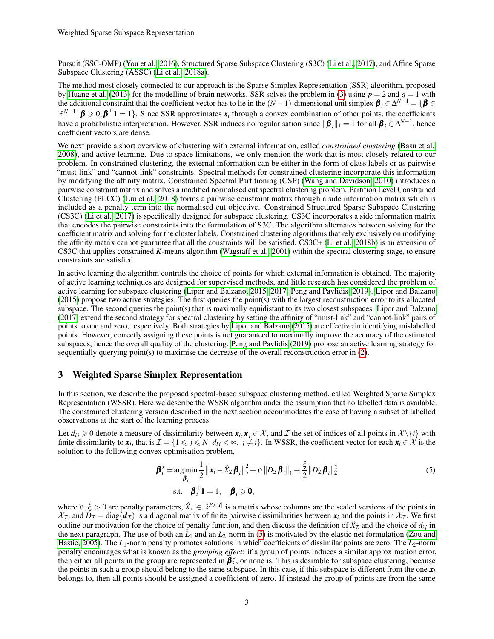Pursuit (SSC-OMP) [\(You et al., 2016\)](#page-14-8), Structured Sparse Subspace Clustering (S3C) [\(Li et al., 2017\)](#page-13-7), and Affine Sparse Subspace Clustering (ASSC) [\(Li et al., 2018a\)](#page-14-10).

The method most closely connected to our approach is the Sparse Simplex Representation (SSR) algorithm, proposed by [Huang et al.](#page-13-3) [\(2013\)](#page-13-3) for the modelling of brain networks. SSR solves the problem in [\(3\)](#page-1-2) using  $p = 2$  and  $q = 1$  with the additional constraint that the coefficient vector has to lie in the  $(N-1)$ -dimensional unit simplex  $\beta$ <sub>*i*</sub>  $\in \Delta^{N-1}$  = { $\beta$   $\in$  $\mathbb{R}^{N-1}$  |  $\beta \ge 0$ ,  $\beta$ <sup>T</sup> 1 = 1}. Since SSR approximates  $x_i$  through a convex combination of other points, the coefficients have a probabilistic interpretation. However, SSR induces no regularisation since  $\|\boldsymbol{\beta}_i\|_1 = 1$  for all  $\boldsymbol{\beta}_i \in \Delta^{N-1}$ , hence coefficient vectors are dense.

We next provide a short overview of clustering with external information, called *constrained clustering* [\(Basu et al.,](#page-13-8) [2008\)](#page-13-8), and active learning. Due to space limitations, we only mention the work that is most closely related to our problem. In constrained clustering, the external information can be either in the form of class labels or as pairwise "must-link" and "cannot-link" constraints. Spectral methods for constrained clustering incorporate this information by modifying the affinity matrix. Constrained Spectral Partitioning (CSP) [\(Wang and Davidson, 2010\)](#page-14-11) introduces a pairwise constraint matrix and solves a modified normalised cut spectral clustering problem. Partition Level Constrained Clustering (PLCC) [\(Liu et al., 2018\)](#page-14-12) forms a pairwise constraint matrix through a side information matrix which is included as a penalty term into the normalised cut objective. Constrained Structured Sparse Subspace Clustering (CS3C) [\(Li et al., 2017\)](#page-13-7) is specifically designed for subspace clustering. CS3C incorporates a side information matrix that encodes the pairwise constraints into the formulation of S3C. The algorithm alternates between solving for the coefficient matrix and solving for the cluster labels. Constrained clustering algorithms that rely exclusively on modifying the affinity matrix cannot guarantee that all the constraints will be satisfied. CS3C+ [\(Li et al., 2018b\)](#page-14-13) is an extension of CS3C that applies constrained *K*-means algorithm [\(Wagstaff et al., 2001\)](#page-14-14) within the spectral clustering stage, to ensure constraints are satisfied.

In active learning the algorithm controls the choice of points for which external information is obtained. The majority of active learning techniques are designed for supervised methods, and little research has considered the problem of active learning for subspace clustering [\(Lipor and Balzano, 2015,](#page-14-15) [2017;](#page-14-7) [Peng and Pavlidis, 2019\)](#page-14-6). [Lipor and Balzano](#page-14-15) [\(2015\)](#page-14-15) propose two active strategies. The first queries the point(s) with the largest reconstruction error to its allocated subspace. The second queries the point(s) that is maximally equidistant to its two closest subspaces. [Lipor and Balzano](#page-14-7) [\(2017\)](#page-14-7) extend the second strategy for spectral clustering by setting the affinity of "must-link" and "cannot-link" pairs of points to one and zero, respectively. Both strategies by [Lipor and Balzano](#page-14-15) [\(2015\)](#page-14-15) are effective in identifying mislabelled points. However, correctly assigning these points is not guaranteed to maximally improve the accuracy of the estimated subspaces, hence the overall quality of the clustering. [Peng and Pavlidis](#page-14-6) [\(2019\)](#page-14-6) propose an active learning strategy for sequentially querying point(s) to maximise the decrease of the overall reconstruction error in [\(2\)](#page-1-1).

#### <span id="page-2-0"></span>3 Weighted Sparse Simplex Representation

In this section, we describe the proposed spectral-based subspace clustering method, called Weighted Sparse Simplex Representation (WSSR). Here we describe the WSSR algorithm under the assumption that no labelled data is available. The constrained clustering version described in the next section accommodates the case of having a subset of labelled observations at the start of the learning process.

Let  $d_{ij} \ge 0$  denote a measure of dissimilarity between  $x_i, x_j \in \mathcal{X}$ , and  $\mathcal{I}$  the set of indices of all points in  $\mathcal{X} \setminus \{i\}$  with finite dissimilarity to  $x_i$ , that is  $\mathcal{I} = \{1 \leq j \leq N | d_{ij} < \infty, j \neq i\}$ . In WSSR, the coefficient vector for each  $x_i \in \mathcal{X}$  is the solution to the following convex optimisation problem,

<span id="page-2-1"></span>
$$
\boldsymbol{\beta}_{i}^{\star} = \underset{\boldsymbol{\beta}_{i}}{\arg \min} \frac{1}{2} ||\boldsymbol{x}_{i} - \hat{X}_{\mathcal{I}} \boldsymbol{\beta}_{i}||_{2}^{2} + \rho ||D_{\mathcal{I}} \boldsymbol{\beta}_{i}||_{1} + \frac{\xi}{2} ||D_{\mathcal{I}} \boldsymbol{\beta}_{i}||_{2}^{2}
$$
\n
$$
\text{s.t.} \quad \boldsymbol{\beta}_{i}^{\top} \mathbf{1} = 1, \quad \boldsymbol{\beta}_{i} \geqslant \mathbf{0},
$$
\n
$$
(5)
$$

where  $\rho, \xi > 0$  are penalty parameters,  $\hat{X}_{\mathcal{I}} \in \mathbb{R}^{P \times |I|}$  is a matrix whose columns are the scaled versions of the points in  $\chi$ <sub>I</sub>, and  $D$ <sub>I</sub> = diag( $d$ <sub>I</sub>) is a diagonal matrix of finite pairwise dissimilarities between  $x_i$  and the points in  $\chi$ <sub>I</sub>. We first outline our motivation for the choice of penalty function, and then discuss the definition of  $\hat{X}_{\mathcal{I}}$  and the choice of  $d_{ij}$  in the next paragraph. The use of both an  $L_1$  and an  $L_2$ -norm in [\(5\)](#page-2-1) is motivated by the elastic net formulation [\(Zou and](#page-14-16) [Hastie, 2005\)](#page-14-16). The *L*<sub>1</sub>-norm penalty promotes solutions in which coefficients of dissimilar points are zero. The *L*<sub>2</sub>-norm penalty encourages what is known as the *grouping effect*: if a group of points induces a similar approximation error, then either all points in the group are represented in  $\beta$ <sup>\*</sup>, or none is. This is desirable for subspace clustering, because the points in such a group should belong to the same subspace. In this case, if this subspace is different from the one  $x_i$ belongs to, then all points should be assigned a coefficient of zero. If instead the group of points are from the same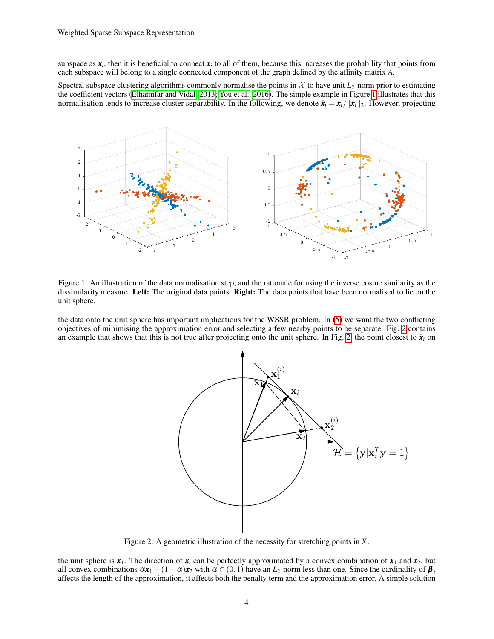subspace as  $x_i$ , then it is beneficial to connect  $x_i$  to all of them, because this increases the probability that points from each subspace will belong to a single connected component of the graph defined by the affinity matrix *A*.

Spectral subspace clustering algorithms commonly normalise the points in  $\mathcal X$  to have unit  $L_2$ -norm prior to estimating the coefficient vectors [\(Elhamifar and Vidal, 2013;](#page-13-0) [You et al., 2016\)](#page-14-8). The simple example in Figure [1](#page-3-0) illustrates that this normalisation tends to increase cluster separability. In the following, we denote  $\bar{x}_i = x_i / \|x_i\|_2$ . However, projecting

<span id="page-3-0"></span>

Figure 1: An illustration of the data normalisation step, and the rationale for using the inverse cosine similarity as the dissimilarity measure. Left: The original data points. Right: The data points that have been normalised to lie on the unit sphere.

<span id="page-3-1"></span>the data onto the unit sphere has important implications for the WSSR problem. In [\(5\)](#page-2-1) we want the two conflicting objectives of minimising the approximation error and selecting a few nearby points to be separate. Fig. [2](#page-3-1) contains an example that shows that this is not true after projecting onto the unit sphere. In Fig. [2,](#page-3-1) the point closest to  $\bar{x}_i$  on



Figure 2: A geometric illustration of the necessity for stretching points in *X*.

the unit sphere is  $\bar{x}_1$ . The direction of  $\bar{x}_i$  can be perfectly approximated by a convex combination of  $\bar{x}_1$  and  $\bar{x}_2$ , but all convex combinations  $\alpha \bar{x}_1 + (1 - \alpha) \bar{x}_2$  with  $\alpha \in (0,1)$  have an  $L_2$ -norm less than one. Since the cardinality of  $\beta$ affects the length of the approximation, it affects both the penalty term and the approximation error. A simple solution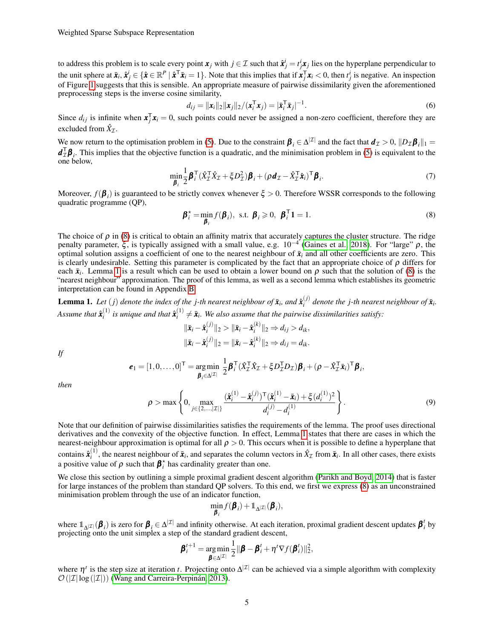to address this problem is to scale every point  $x_j$  with  $j \in \mathcal{I}$  such that  $\hat{x}^i_j = t^i_j x_j$  lies on the hyperplane perpendicular to the unit sphere at  $\bar{x}_i$ ,  $\hat{x}_j^i \in \{\hat{x} \in \mathbb{R}^P \mid \hat{x}^\mathsf{T} \bar{x}_i = 1\}$ . Note that this implies that if  $\bar{x}_j^\mathsf{T} x_i < 0$ , then  $t_j^i$  is negative. An inspection of Figure [1](#page-3-0) suggests that this is sensible. An appropriate measure of pairwise dissimilarity given the aforementioned preprocessing steps is the inverse cosine similarity,

<span id="page-4-2"></span>
$$
d_{ij} = ||\mathbf{x}_i||_2 ||\mathbf{x}_j||_2 / (\mathbf{x}_i^{\mathsf{T}} \mathbf{x}_j) = |\bar{\mathbf{x}}_i^{\mathsf{T}} \bar{\mathbf{x}}_j|^{-1}.
$$
\n
$$
(6)
$$

Since  $d_{ij}$  is infinite when  $x_j^T x_i = 0$ , such points could never be assigned a non-zero coefficient, therefore they are excluded from  $\hat{X}_{\mathcal{I}}$ .

We now return to the optimisation problem in [\(5\)](#page-2-1). Due to the constraint  $\beta_i \in \Delta^{|\mathcal{I}|}$  and the fact that  $d_{\mathcal{I}} > 0$ ,  $||D_{\mathcal{I}} \beta_i||_1 =$  $d_L^T \beta$ <sub>*i*</sub>. This implies that the objective function is a quadratic, and the minimisation problem in [\(5\)](#page-2-1) is equivalent to the one below,

$$
\min_{\boldsymbol{\beta}_i} \frac{1}{2} \boldsymbol{\beta}_i^{\mathsf{T}} (\hat{X}_\mathcal{I}^{\mathsf{T}} \hat{X}_\mathcal{I} + \xi D_\mathcal{I}^2) \boldsymbol{\beta}_i + (\rho \boldsymbol{d}_\mathcal{I} - \hat{X}_\mathcal{I}^{\mathsf{T}} \hat{\boldsymbol{x}}_i)^{\mathsf{T}} \boldsymbol{\beta}_i.
$$
\n(7)

Moreover,  $f(\beta_i)$  is guaranteed to be strictly convex whenever  $\xi > 0$ . Therefore WSSR corresponds to the following quadratic programme (QP),

<span id="page-4-0"></span>
$$
\boldsymbol{\beta}_i^* = \min_{\boldsymbol{\beta}_i} f(\boldsymbol{\beta}_i), \text{ s.t. } \boldsymbol{\beta}_i \geqslant 0, \ \boldsymbol{\beta}_i^{\mathsf{T}} \mathbf{1} = 1. \tag{8}
$$

The choice of  $\rho$  in [\(8\)](#page-4-0) is critical to obtain an affinity matrix that accurately captures the cluster structure. The ridge penalty parameter,  $\xi$ , is typically assigned with a small value, e.g.  $10^{-4}$  [\(Gaines et al., 2018\)](#page-13-9). For "large"  $\rho$ , the optimal solution assigns a coefficient of one to the nearest neighbour of  $\bar{x}_i$  and all other coefficients are zero. This is clearly undesirable. Setting this parameter is complicated by the fact that an appropriate choice of  $\rho$  differs for each  $\bar{x}_i$ . Lemma [1](#page-4-1) is a result which can be used to obtain a lower bound on  $\rho$  such that the solution of [\(8\)](#page-4-0) is the "nearest neighbour" approximation. The proof of this lemma, as well as a second lemma which establishes its geometric interpretation can be found in Appendix [B.](#page-15-0)

<span id="page-4-1"></span>**Lemma 1.** Let  $(j)$  denote the index of the j-th nearest neighbour of  $\bar{\mathbf{x}}_i$ , and  $\hat{\mathbf{x}}_i^{(j)}$  $\hat{a}^{(J)}$  denote the *j*-th nearest neighbour of  $\bar{x}$ <sup>*i*</sup>. Assume that  $\hat{\boldsymbol{x}}_i^{\left(1\right)}$  $\hat{\boldsymbol{x}}_i^{(1)}$  is unique and that  $\hat{\boldsymbol{x}}_i^{(1)}$  $a_i^{(1)} \neq \bar{x}_i$ . We also assume that the pairwise dissimilarities satisfy:

$$
\begin{aligned}\n\|\bar{\mathbf{x}}_i - \hat{\mathbf{x}}_i^{(j)}\|_2 > \|\bar{\mathbf{x}}_i - \hat{\mathbf{x}}_i^{(k)}\|_2 \Rightarrow d_{ij} > d_{ik}, \\
\|\bar{\mathbf{x}}_i - \hat{\mathbf{x}}_i^{(j)}\|_2 &= \|\bar{\mathbf{x}}_i - \hat{\mathbf{x}}_i^{(k)}\|_2 \Rightarrow d_{ij} = d_{ik}.\n\end{aligned}
$$

*If*

$$
\boldsymbol{e}_1 = [1, 0, \dots, 0]^\top = \underset{\boldsymbol{\beta}_i \in \Delta^{|\mathcal{I}|}}{\arg \min} \frac{1}{2} \boldsymbol{\beta}_i^\top (\hat{X}_\mathcal{I}^\top \hat{X}_\mathcal{I} + \xi D_\mathcal{I}^\top D_\mathcal{I}) \boldsymbol{\beta}_i + (\rho - \hat{X}_\mathcal{I}^\top \bar{\boldsymbol{x}}_i)^\top \boldsymbol{\beta}_i,
$$

*then*

$$
\rho > \max \left\{ 0, \max_{j \in \{2,\ldots,|\mathcal{I}|\}} \frac{(\hat{\mathbf{x}}_i^{(1)} - \hat{\mathbf{x}}_i^{(1)})^\mathsf{T} (\hat{\mathbf{x}}_i^{(1)} - \bar{\mathbf{x}}_i) + \xi (d_i^{(1)})^2}{d_i^{(j)} - d_i^{(1)}} \right\}.
$$
\n(9)

Note that our definition of pairwise dissimilarities satisfies the requirements of the lemma. The proof uses directional derivatives and the convexity of the objective function. In effect, Lemma [1](#page-4-1) states that there are cases in which the nearest-neighbour approximation is optimal for all  $\rho > 0$ . This occurs when it is possible to define a hyperplane that contains  $\hat{\boldsymbol{x}}_i^{(1)}$  $\hat{\mathbf{x}}_i^{(1)}$ , the nearest neighbour of  $\bar{\mathbf{x}}_i$ , and separates the column vectors in  $\hat{X}_{\mathcal{I}}$  from  $\bar{\mathbf{x}}_i$ . In all other cases, there exists a positive value of  $\rho$  such that  $\beta_i^*$  has cardinality greater than one.

We close this section by outlining a simple proximal gradient descent algorithm [\(Parikh and Boyd, 2014\)](#page-14-17) that is faster for large instances of the problem than standard QP solvers. To this end, we first we express [\(8\)](#page-4-0) as an unconstrained minimisation problem through the use of an indicator function,

$$
\min_{\pmb\beta_i}f(\pmb\beta_i)+\mathbb{1}_{\Delta^{|\mathcal I|}}(\pmb\beta_i),
$$

where  $\mathbb{1}_{\Delta}|\mathcal{I}|(\beta_i)$  is zero for  $\beta_i \in \Delta^{|\mathcal{I}|}$  and infinity otherwise. At each iteration, proximal gradient descent updates  $\beta_i^t$  by projecting onto the unit simplex a step of the standard gradient descent,

$$
\boldsymbol{\beta}_i^{t+1} = \underset{\boldsymbol{\beta} \in \Delta^{|\mathcal{I}|}}{\arg \min} \frac{1}{2} \|\boldsymbol{\beta} - \boldsymbol{\beta}_i^t + \eta^t \nabla f(\boldsymbol{\beta}_i^t) \|_2^2,
$$

where  $\eta^t$  is the step size at iteration *t*. Projecting onto  $\Delta^{|\mathcal{I}|}$  can be achieved via a simple algorithm with complexity  $\mathcal{O}(|\mathcal{I}| \log(|\mathcal{I}|))$  [\(Wang and Carreira-Perpinán, 2013\)](#page-14-18).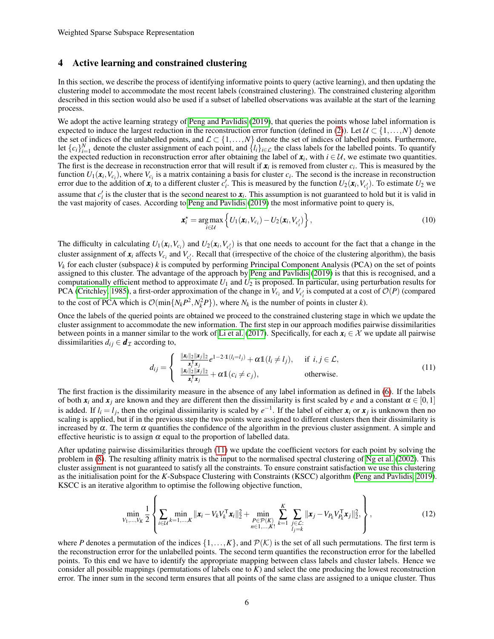#### <span id="page-5-0"></span>4 Active learning and constrained clustering

In this section, we describe the process of identifying informative points to query (active learning), and then updating the clustering model to accommodate the most recent labels (constrained clustering). The constrained clustering algorithm described in this section would also be used if a subset of labelled observations was available at the start of the learning process.

We adopt the active learning strategy of [Peng and Pavlidis](#page-14-6) [\(2019\)](#page-14-6), that queries the points whose label information is expected to induce the largest reduction in the reconstruction error function (defined in [\(2\)](#page-1-1)). Let  $\mathcal{U} \subset \{1, \ldots, N\}$  denote the set of indices of the unlabelled points, and  $\mathcal{L} \subset \{1, \ldots, N\}$  denote the set of indices of labelled points. Furthermore, let  ${c_i}_{i=1}^N$  denote the cluster assignment of each point, and  ${l_i}_{i \in L}$  the class labels for the labelled points. To quantify the expected reduction in reconstruction error after obtaining the label of  $x_i$ , with  $i \in U$ , we estimate two quantities. The first is the decrease in reconstruction error that will result if  $x_i$  is removed from cluster  $c_i$ . This is measured by the function  $U_1(\mathbf{x}_i, V_{c_i})$ , where  $V_{c_i}$  is a matrix containing a basis for cluster  $c_i$ . The second is the increase in reconstruction error due to the addition of  $x_i$  to a different cluster  $c'_i$ . This is measured by the function  $U_2(x_i, V_{c'_i})$ . To estimate  $U_2$  we assume that  $c'_i$  is the cluster that is the second nearest to  $x_i$ . This assumption is not guaranteed to hold but it is valid in the vast majority of cases. According to [Peng and Pavlidis](#page-14-6) [\(2019\)](#page-14-6) the most informative point to query is,

<span id="page-5-3"></span>
$$
\boldsymbol{x}_i^* = \underset{i \in \mathcal{U}}{\arg \max} \left\{ U_1(\boldsymbol{x}_i, V_{c_i}) - U_2(\boldsymbol{x}_i, V_{c_i'}) \right\},\tag{10}
$$

The difficulty in calculating  $U_1(\mathbf{x}_i, V_{c_i})$  and  $U_2(\mathbf{x}_i, V_{c_i})$  is that one needs to account for the fact that a change in the cluster assignment of  $x_i$  affects  $V_{c_i}$  and  $V_{c'_i}$ . Recall that (irrespective of the choice of the clustering algorithm), the basis *V<sup>k</sup>* for each cluster (subspace) *k* is computed by performing Principal Component Analysis (PCA) on the set of points assigned to this cluster. The advantage of the approach by [Peng and Pavlidis](#page-14-6) [\(2019\)](#page-14-6) is that this is recognised, and a computationally efficient method to approximate *U*<sup>1</sup> and *U*<sup>2</sup> is proposed. In particular, using perturbation results for PCA [\(Critchley, 1985\)](#page-13-10), a first-order approximation of the change in  $V_{c_i}$  and  $V_{c'_i}$  is computed at a cost of  $\mathcal{O}(P)$  (compared to the cost of PCA which is  $\mathcal{O}(\min\{N_k P^2, N_k^2 P\})$ , where  $N_k$  is the number of points in cluster *k*).

Once the labels of the queried points are obtained we proceed to the constrained clustering stage in which we update the cluster assignment to accommodate the new information. The first step in our approach modifies pairwise dissimilarities between points in a manner similar to the work of [Li et al.](#page-13-7) [\(2017\)](#page-13-7). Specifically, for each  $x_i \in \mathcal{X}$  we update all pairwise dissimilarities  $d_{ij} \in \boldsymbol{d}_{\mathcal{I}}$  according to,

<span id="page-5-1"></span>
$$
d_{ij} = \begin{cases} \frac{\|\mathbf{x}_i\|_2 \|\mathbf{x}_j\|_2}{\mathbf{x}_i^T \mathbf{x}_j} e^{1-2\cdot \mathbf{1}(l_i=l_j)} + \alpha \mathbf{1}(l_i \neq l_j), & \text{if } i, j \in \mathcal{L},\\ \frac{\|\mathbf{x}_i\|_2 \|\mathbf{x}_j\|_2}{\mathbf{x}_i^T \mathbf{x}_j} + \alpha \mathbf{1}(c_i \neq c_j), & \text{otherwise.} \end{cases}
$$
(11)

The first fraction is the dissimilarity measure in the absence of any label information as defined in [\(6\)](#page-4-2). If the labels of both  $x_i$  and  $x_j$  are known and they are different then the dissimilarity is first scaled by *e* and a constant  $\alpha \in [0,1]$ is added. If  $l_i = l_j$ , then the original dissimilarity is scaled by  $e^{-1}$ . If the label of either  $x_i$  or  $x_j$  is unknown then no scaling is applied, but if in the previous step the two points were assigned to different clusters then their dissimilarity is increased by  $\alpha$ . The term  $\alpha$  quantifies the confidence of the algorithm in the previous cluster assignment. A simple and effective heuristic is to assign  $\alpha$  equal to the proportion of labelled data.

After updating pairwise dissimilarities through [\(11\)](#page-5-1) we update the coefficient vectors for each point by solving the problem in [\(8\)](#page-4-0). The resulting affinity matrix is the input to the normalised spectral clustering of [Ng et al.](#page-14-9) [\(2002\)](#page-14-9). This cluster assignment is not guaranteed to satisfy all the constraints. To ensure constraint satisfaction we use this clustering as the initialisation point for the *K*-Subspace Clustering with Constraints (KSCC) algorithm [\(Peng and Pavlidis, 2019\)](#page-14-6). KSCC is an iterative algorithm to optimise the following objective function,

<span id="page-5-2"></span>
$$
\min_{V_1,\dots,V_K} \frac{1}{2} \left\{ \sum_{i \in \mathcal{U}} \min_{k=1,\dots,K} ||\mathbf{x}_i - V_k V_k^{\mathsf{T}} \mathbf{x}_i||_2^2 + \min_{\substack{P \in \mathcal{P}(K) \\ n \in 1,\dots,K!}} \sum_{k=1}^K \sum_{\substack{j \in \mathcal{L}: \\ l_j = k}} ||\mathbf{x}_j - V_{P_k} V_{P_k}^{\mathsf{T}} \mathbf{x}_j||_2^2, \right\},\tag{12}
$$

where P denotes a permutation of the indices  $\{1,\ldots,K\}$ , and  $\mathcal{P}(\mathcal{K})$  is the set of all such permutations. The first term is the reconstruction error for the unlabelled points. The second term quantifies the reconstruction error for the labelled points. To this end we have to identify the appropriate mapping between class labels and cluster labels. Hence we consider all possible mappings (permutations of labels one to *K*) and select the one producing the lowest reconstruction error. The inner sum in the second term ensures that all points of the same class are assigned to a unique cluster. Thus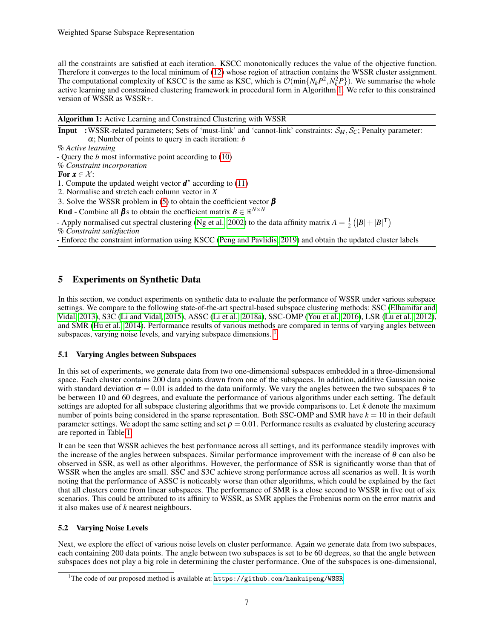all the constraints are satisfied at each iteration. KSCC monotonically reduces the value of the objective function. Therefore it converges to the local minimum of [\(12\)](#page-5-2) whose region of attraction contains the WSSR cluster assignment. The computational complexity of KSCC is the same as KSC, which is  $\mathcal{O}(\min\{N_k P^2, N_k^2 P\})$ . We summarise the whole active learning and constrained clustering framework in procedural form in Algorithm [1.](#page-6-1) We refer to this constrained version of WSSR as WSSR+.

<span id="page-6-1"></span>Algorithm 1: Active Learning and Constrained Clustering with WSSR **Input** :WSSR-related parameters; Sets of 'must-link' and 'cannot-link' constraints:  $S_M$ ,  $S_C$ ; Penalty parameter: α; Number of points to query in each iteration: *b* % *Active learning* - Query the *b* most informative point according to [\(10\)](#page-5-3) % *Constraint incorporation* For  $x \in \mathcal{X}$ : 1. Compute the updated weight vector  $\boldsymbol{d}^*$  according to [\(11\)](#page-5-1) 2. Normalise and stretch each column vector in *X* 3. Solve the WSSR problem in [\(5\)](#page-2-1) to obtain the coefficient vector  $\beta$ End - Combine all  $\beta$ s to obtain the coefficient matrix  $B \in \mathbb{R}^{N \times N}$ - Apply normalised cut spectral clustering [\(Ng et al., 2002\)](#page-14-9) to the data affinity matrix  $A = \frac{1}{2} (|B| + |B|^\mathsf{T})$ % *Constraint satisfaction*

- Enforce the constraint information using KSCC [\(Peng and Pavlidis, 2019\)](#page-14-6) and obtain the updated cluster labels

# <span id="page-6-0"></span>5 Experiments on Synthetic Data

In this section, we conduct experiments on synthetic data to evaluate the performance of WSSR under various subspace settings. We compare to the following state-of-the-art spectral-based subspace clustering methods: SSC [\(Elhamifar and](#page-13-0) [Vidal, 2013\)](#page-13-0), S3C [\(Li and Vidal, 2015\)](#page-13-1), ASSC [\(Li et al., 2018a\)](#page-14-10), SSC-OMP [\(You et al., 2016\)](#page-14-8), LSR [\(Lu et al., 2012\)](#page-14-5), and SMR [\(Hu et al., 2014\)](#page-13-6). Performance results of various methods are compared in terms of varying angles between subspaces, varying noise levels, and varying subspace dimensions. <sup>[1](#page-6-2)</sup>

# 5.1 Varying Angles between Subspaces

In this set of experiments, we generate data from two one-dimensional subspaces embedded in a three-dimensional space. Each cluster contains 200 data points drawn from one of the subspaces. In addition, additive Gaussian noise with standard deviation  $\sigma = 0.01$  is added to the data uniformly. We vary the angles between the two subspaces  $\theta$  to be between 10 and 60 degrees, and evaluate the performance of various algorithms under each setting. The default settings are adopted for all subspace clustering algorithms that we provide comparisons to. Let *k* denote the maximum number of points being considered in the sparse representation. Both SSC-OMP and SMR have  $k = 10$  in their default parameter settings. We adopt the same setting and set  $\rho = 0.01$ . Performance results as evaluated by clustering accuracy are reported in Table [1.](#page-7-0)

It can be seen that WSSR achieves the best performance across all settings, and its performance steadily improves with the increase of the angles between subspaces. Similar performance improvement with the increase of  $\theta$  can also be observed in SSR, as well as other algorithms. However, the performance of SSR is significantly worse than that of WSSR when the angles are small. SSC and S3C achieve strong performance across all scenarios as well. It is worth noting that the performance of ASSC is noticeably worse than other algorithms, which could be explained by the fact that all clusters come from linear subspaces. The performance of SMR is a close second to WSSR in five out of six scenarios. This could be attributed to its affinity to WSSR, as SMR applies the Frobenius norm on the error matrix and it also makes use of *k* nearest neighbours.

# 5.2 Varying Noise Levels

Next, we explore the effect of various noise levels on cluster performance. Again we generate data from two subspaces, each containing 200 data points. The angle between two subspaces is set to be 60 degrees, so that the angle between subspaces does not play a big role in determining the cluster performance. One of the subspaces is one-dimensional,

<span id="page-6-2"></span><sup>&</sup>lt;sup>1</sup>The code of our proposed method is available at: <https://github.com/hankuipeng/WSSR>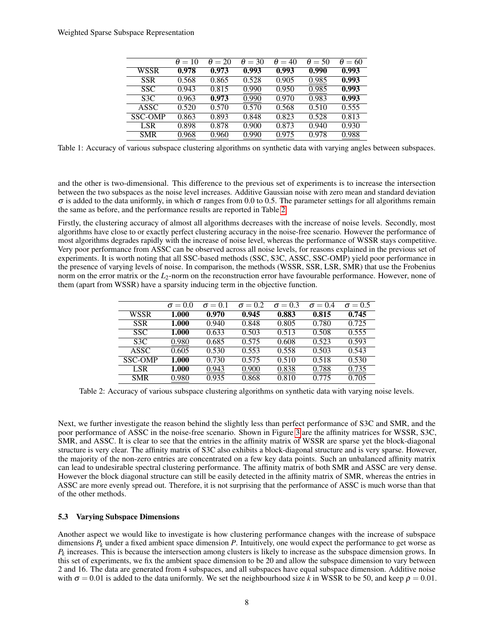<span id="page-7-0"></span>

|                  | $\theta = 10$ | $\theta = 20$ | $\theta = 30$ | $\theta = 40$ | $\theta = 50$ | $\theta = 60$ |
|------------------|---------------|---------------|---------------|---------------|---------------|---------------|
| WSSR             | 0.978         | 0.973         | 0.993         | 0.993         | 0.990         | 0.993         |
| <b>SSR</b>       | 0.568         | 0.865         | 0.528         | 0.905         | 0.985         | 0.993         |
| SSC.             | 0.943         | 0.815         | 0.990         | 0.950         | 0.985         | 0.993         |
| S <sub>3</sub> C | 0.963         | 0.973         | 0.990         | 0.970         | 0.983         | 0.993         |
| <b>ASSC</b>      | 0.520         | 0.570         | 0.570         | 0.568         | 0.510         | 0.555         |
| <b>SSC-OMP</b>   | 0.863         | 0.893         | 0.848         | 0.823         | 0.528         | 0.813         |
| LSR.             | 0.898         | 0.878         | 0.900         | 0.873         | 0.940         | 0.930         |
| <b>SMR</b>       | 0.968         | 0.960         | 0.990         | 0.975         | 0.978         | 0.988         |

Table 1: Accuracy of various subspace clustering algorithms on synthetic data with varying angles between subspaces.

and the other is two-dimensional. This difference to the previous set of experiments is to increase the intersection between the two subspaces as the noise level increases. Additive Gaussian noise with zero mean and standard deviation  $\sigma$  is added to the data uniformly, in which  $\sigma$  ranges from 0.0 to 0.5. The parameter settings for all algorithms remain the same as before, and the performance results are reported in Table [2.](#page-7-1)

Firstly, the clustering accuracy of almost all algorithms decreases with the increase of noise levels. Secondly, most algorithms have close to or exactly perfect clustering accuracy in the noise-free scenario. However the performance of most algorithms degrades rapidly with the increase of noise level, whereas the performance of WSSR stays competitive. Very poor performance from ASSC can be observed across all noise levels, for reasons explained in the previous set of experiments. It is worth noting that all SSC-based methods (SSC, S3C, ASSC, SSC-OMP) yield poor performance in the presence of varying levels of noise. In comparison, the methods (WSSR, SSR, LSR, SMR) that use the Frobenius norm on the error matrix or the *L*<sub>2</sub>-norm on the reconstruction error have favourable performance. However, none of them (apart from WSSR) have a sparsity inducing term in the objective function.

<span id="page-7-1"></span>

|                | $\sigma = 0.0$ | $\sigma = 0.1$ | $\sigma = 0.2$ | $\sigma = 0.3$ | $\sigma = 0.4$ | $\sigma = 0.5$ |
|----------------|----------------|----------------|----------------|----------------|----------------|----------------|
| <b>WSSR</b>    | 1.000          | 0.970          | 0.945          | 0.883          | 0.815          | 0.745          |
| <b>SSR</b>     | 1.000          | 0.940          | 0.848          | 0.805          | 0.780          | 0.725          |
| <b>SSC</b>     | 1.000          | 0.633          | 0.503          | 0.513          | 0.508          | 0.555          |
| S3C            | 0.980          | 0.685          | 0.575          | 0.608          | 0.523          | 0.593          |
| <b>ASSC</b>    | 0.605          | 0.530          | 0.553          | 0.558          | 0.503          | 0.543          |
| <b>SSC-OMP</b> | 1.000          | 0.730          | 0.575          | 0.510          | 0.518          | 0.530          |
| <b>LSR</b>     | 1.000          | 0.943          | 0.900          | 0.838          | 0.788          | 0.735          |
| <b>SMR</b>     | 0.980          | 0.935          | 0.868          | 0.810          | 0.775          | 0.705          |

Table 2: Accuracy of various subspace clustering algorithms on synthetic data with varying noise levels.

Next, we further investigate the reason behind the slightly less than perfect performance of S3C and SMR, and the poor performance of ASSC in the noise-free scenario. Shown in Figure [3](#page-8-1) are the affinity matrices for WSSR, S3C, SMR, and ASSC. It is clear to see that the entries in the affinity matrix of WSSR are sparse yet the block-diagonal structure is very clear. The affinity matrix of S3C also exhibits a block-diagonal structure and is very sparse. However, the majority of the non-zero entries are concentrated on a few key data points. Such an unbalanced affinity matrix can lead to undesirable spectral clustering performance. The affinity matrix of both SMR and ASSC are very dense. However the block diagonal structure can still be easily detected in the affinity matrix of SMR, whereas the entries in ASSC are more evenly spread out. Therefore, it is not surprising that the performance of ASSC is much worse than that of the other methods.

#### 5.3 Varying Subspace Dimensions

Another aspect we would like to investigate is how clustering performance changes with the increase of subspace dimensions  $P_k$  under a fixed ambient space dimension  $P$ . Intuitively, one would expect the performance to get worse as *Pk* increases. This is because the intersection among clusters is likely to increase as the subspace dimension grows. In this set of experiments, we fix the ambient space dimension to be 20 and allow the subspace dimension to vary between 2 and 16. The data are generated from 4 subspaces, and all subspaces have equal subspace dimension. Additive noise with  $\sigma = 0.01$  is added to the data uniformly. We set the neighbourhood size k in WSSR to be 50, and keep  $\rho = 0.01$ .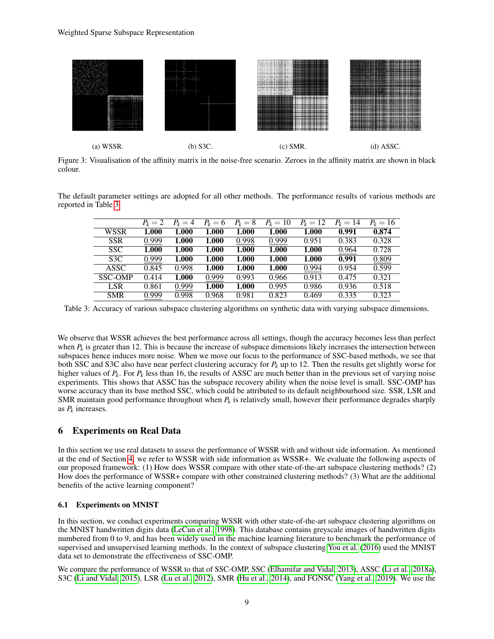<span id="page-8-1"></span>

Figure 3: Visualisation of the affinity matrix in the noise-free scenario. Zeroes in the affinity matrix are shown in black colour.

<span id="page-8-2"></span>The default parameter settings are adopted for all other methods. The performance results of various methods are reported in Table [3.](#page-8-2)

|                  | $P_k=2$ | $P_k=4$ | $P_k=6$ | $P_k=8$ | $P_k = 10$ | $P_k = 12$ | $P_k = 14$ | $P_k = 16$ |
|------------------|---------|---------|---------|---------|------------|------------|------------|------------|
| <b>WSSR</b>      | 1.000   | 1.000   | 1.000   | 1.000   | 1.000      | 1.000      | 0.991      | 0.874      |
| <b>SSR</b>       | 0.999   | 1.000   | 1.000   | 0.998   | 0.999      | 0.951      | 0.383      | 0.328      |
| SSC.             | 1.000   | 1.000   | 1.000   | 1.000   | 1.000      | 1.000      | 0.964      | 0.728      |
| S <sub>3</sub> C | 0.999   | 1.000   | 1.000   | 1.000   | 1.000      | 1.000      | 0.991      | 0.809      |
| <b>ASSC</b>      | 0.845   | 0.998   | 1.000   | 1.000   | 1.000      | 0.994      | 0.954      | 0.599      |
| <b>SSC-OMP</b>   | 0.414   | 1.000   | 0.999   | 0.993   | 0.966      | 0.913      | 0.475      | 0.321      |
| <b>LSR</b>       | 0.861   | 0.999   | 1.000   | 1.000   | 0.995      | 0.986      | 0.936      | 0.518      |
| <b>SMR</b>       | 0.999   | 0.998   | 0.968   | 0.981   | 0.823      | 0.469      | 0.335      | 0.323      |

Table 3: Accuracy of various subspace clustering algorithms on synthetic data with varying subspace dimensions.

We observe that WSSR achieves the best performance across all settings, though the accuracy becomes less than perfect when  $P_k$  is greater than 12. This is because the increase of subspace dimensions likely increases the intersection between subspaces hence induces more noise. When we move our focus to the performance of SSC-based methods, we see that both SSC and S3C also have near perfect clustering accuracy for  $P_k$  up to 12. Then the results get slightly worse for higher values of  $P_k$ . For  $P_k$  less than 16, the results of ASSC are much better than in the previous set of varying noise experiments. This shows that ASSC has the subspace recovery ability when the noise level is small. SSC-OMP has worse accuracy than its base method SSC, which could be attributed to its default neighbourhood size. SSR, LSR and SMR maintain good performance throughout when  $P_k$  is relatively small, however their performance degrades sharply as *P<sup>k</sup>* increases.

# <span id="page-8-0"></span>6 Experiments on Real Data

In this section we use real datasets to assess the performance of WSSR with and without side information. As mentioned at the end of Section [4,](#page-5-0) we refer to WSSR with side information as WSSR+. We evaluate the following aspects of our proposed framework: (1) How does WSSR compare with other state-of-the-art subspace clustering methods? (2) How does the performance of WSSR+ compare with other constrained clustering methods? (3) What are the additional benefits of the active learning component?

# 6.1 Experiments on MNIST

In this section, we conduct experiments comparing WSSR with other state-of-the-art subspace clustering algorithms on the MNIST handwritten digits data [\(LeCun et al., 1998\)](#page-13-11). This database contains greyscale images of handwritten digits numbered from 0 to 9, and has been widely used in the machine learning literature to benchmark the performance of supervised and unsupervised learning methods. In the context of subspace clustering [You et al.](#page-14-8) [\(2016\)](#page-14-8) used the MNIST data set to demonstrate the effectiveness of SSC-OMP.

We compare the performance of WSSR to that of SSC-OMP, SSC [\(Elhamifar and Vidal, 2013\)](#page-13-0), ASSC [\(Li et al., 2018a\)](#page-14-10), S3C [\(Li and Vidal, 2015\)](#page-13-1), LSR [\(Lu et al., 2012\)](#page-14-5), SMR [\(Hu et al., 2014\)](#page-13-6), and FGNSC [\(Yang et al., 2019\)](#page-14-19). We use the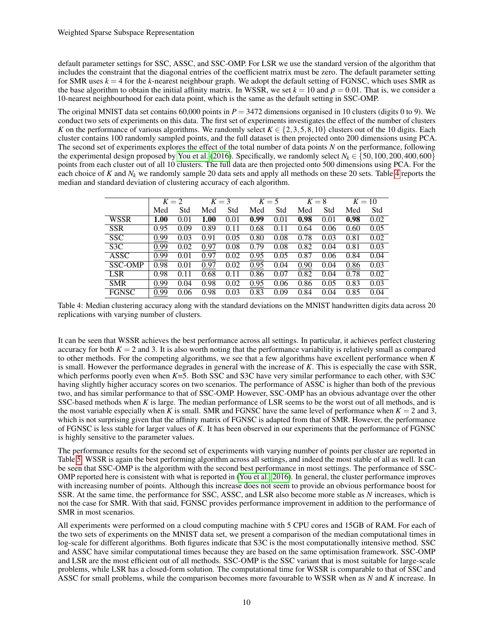default parameter settings for SSC, ASSC, and SSC-OMP. For LSR we use the standard version of the algorithm that includes the constraint that the diagonal entries of the coefficient matrix must be zero. The default parameter setting for SMR uses  $k = 4$  for the *k*-nearest neighbour graph. We adopt the default setting of FGNSC, which uses SMR as the base algorithm to obtain the initial affinity matrix. In WSSR, we set  $k = 10$  and  $\rho = 0.01$ . That is, we consider a 10-nearest neighbourhood for each data point, which is the same as the default setting in SSC-OMP.

The original MNIST data set contains 60,000 points in  $P = 3472$  dimensions organised in 10 clusters (digits 0 to 9). We conduct two sets of experiments on this data. The first set of experiments investigates the effect of the number of clusters *K* on the performance of various algorithms. We randomly select  $K \in \{2, 3, 5, 8, 10\}$  clusters out of the 10 digits. Each cluster contains 100 randomly sampled points, and the full dataset is then projected onto 200 dimensions using PCA. The second set of experiments explores the effect of the total number of data points *N* on the performance, following the experimental design proposed by [You et al.](#page-14-8) [\(2016\)](#page-14-8). Specifically, we randomly select  $N_k \in \{50, 100, 200, 400, 600\}$ points from each cluster out of all 10 clusters. The full data are then projected onto 500 dimensions using PCA. For the each choice of  $K$  and  $N_k$  we randomly sample 20 data sets and apply all methods on these 20 sets. Table [4](#page-9-0) reports the median and standard deviation of clustering accuracy of each algorithm.

<span id="page-9-0"></span>

|                  | $K = 2$ |      |      | $K = 3$ |      | $K=5$    |      | $K=8$ | $K = 10$ |      |
|------------------|---------|------|------|---------|------|----------|------|-------|----------|------|
|                  | Med     | Std  | Med  | Std     | Med  | Std      | Med  | Std   | Med      | Std  |
| <b>WSSR</b>      | 1.00    | 0.01 | 1.00 | 0.01    | 0.99 | 0.01     | 0.98 | 0.01  | 0.98     | 0.02 |
| <b>SSR</b>       | 0.95    | 0.09 | 0.89 | 0.11    | 0.68 | 0.<br>11 | 0.64 | 0.06  | 0.60     | 0.05 |
| <b>SSC</b>       | 0.99    | 0.03 | 0.91 | 0.05    | 0.80 | 0.08     | 0.78 | 0.03  | 0.81     | 0.02 |
| S <sub>3</sub> C | 0.99    | 0.02 | 0.97 | 0.08    | 0.79 | 0.08     | 0.82 | 0.04  | 0.81     | 0.03 |
| <b>ASSC</b>      | 0.99    | 0.01 | 0.97 | 0.02    | 0.95 | 0.05     | 0.87 | 0.06  | 0.84     | 0.04 |
| <b>SSC-OMP</b>   | 0.98    | 0.01 | 0.97 | 0.02    | 0.95 | 0.04     | 0.90 | 0.04  | 0.86     | 0.03 |
| <b>LSR</b>       | 0.98    | 0.11 | 0.68 | 0.11    | 0.86 | 0.07     | 0.82 | 0.04  | 0.78     | 0.02 |
| <b>SMR</b>       | 0.99    | 0.04 | 0.98 | 0.02    | 0.95 | 0.06     | 0.86 | 0.05  | 0.83     | 0.03 |
| <b>FGNSC</b>     | 0.99    | 0.06 | 0.98 | 0.03    | 0.83 | 0.09     | 0.84 | 0.04  | 0.85     | 0.04 |

Table 4: Median clustering accuracy along with the standard deviations on the MNIST handwritten digits data across 20 replications with varying number of clusters.

It can be seen that WSSR achieves the best performance across all settings. In particular, it achieves perfect clustering accuracy for both  $K = 2$  and 3. It is also worth noting that the performance variability is relatively small as compared to other methods. For the competing algorithms, we see that a few algorithms have excellent performance when *K* is small. However the performance degrades in general with the increase of *K*. This is especially the case with SSR, which performs poorly even when *K*=5. Both SSC and S3C have very similar performance to each other, with S3C having slightly higher accuracy scores on two scenarios. The performance of ASSC is higher than both of the previous two, and has similar performance to that of SSC-OMP. However, SSC-OMP has an obvious advantage over the other SSC-based methods when *K* is large. The median performance of LSR seems to be the worst out of all methods, and is the most variable especially when *K* is small. SMR and FGNSC have the same level of performance when  $K = 2$  and 3, which is not surprising given that the affinity matrix of FGNSC is adapted from that of SMR. However, the performance of FGNSC is less stable for larger values of *K*. It has been observed in our experiments that the performance of FGNSC is highly sensitive to the parameter values.

The performance results for the second set of experiments with varying number of points per cluster are reported in Table [5.](#page-10-0) WSSR is again the best performing algorithm across all settings, and indeed the most stable of all as well. It can be seen that SSC-OMP is the algorithm with the second best performance in most settings. The performance of SSC-OMP reported here is consistent with what is reported in [\(You et al., 2016\)](#page-14-8). In general, the cluster performance improves with increasing number of points. Although this increase does not seem to provide an obvious performance boost for SSR. At the same time, the performance for SSC, ASSC, and LSR also become more stable as *N* increases, which is not the case for SMR. With that said, FGNSC provides performance improvement in addition to the performance of SMR in most scenarios.

All experiments were performed on a cloud computing machine with 5 CPU cores and 15GB of RAM. For each of the two sets of experiments on the MNIST data set, we present a comparison of the median computational times in log-scale for different algorithms. Both figures indicate that S3C is the most computationally intensive method. SSC and ASSC have similar computational times because they are based on the same optimisation framework. SSC-OMP and LSR are the most efficient out of all methods. SSC-OMP is the SSC variant that is most suitable for large-scale problems, while LSR has a closed-form solution. The computational time for WSSR is comparable to that of SSC and ASSC for small problems, while the comparison becomes more favourable to WSSR when as *N* and *K* increase. In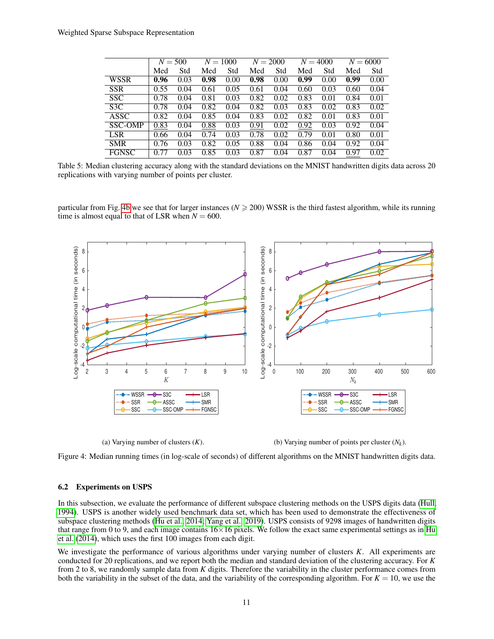<span id="page-10-0"></span>

|                  |      | $N = 500$ | $N = 1000$ |      |      | $N = 2000$ | $N = 4000$ |      |      | $N = 6000$ |
|------------------|------|-----------|------------|------|------|------------|------------|------|------|------------|
|                  | Med  | Std       | Med        | Std  | Med  | Std        | Med        | Std  | Med  | Std        |
| <b>WSSR</b>      | 0.96 | 0.03      | 0.98       | 0.00 | 0.98 | 0.00       | 0.99       | 0.00 | 0.99 | 0.00       |
| <b>SSR</b>       | 0.55 | 0.04      | 0.61       | 0.05 | 0.61 | 0.04       | 0.60       | 0.03 | 0.60 | 0.04       |
| <b>SSC</b>       | 0.78 | 0.04      | 0.81       | 0.03 | 0.82 | 0.02       | 0.83       | 0.01 | 0.84 | 0.01       |
| S <sub>3</sub> C | 0.78 | 0.04      | 0.82       | 0.04 | 0.82 | 0.03       | 0.83       | 0.02 | 0.83 | 0.02       |
| ASSC             | 0.82 | 0.04      | 0.85       | 0.04 | 0.83 | 0.02       | 0.82       | 0.01 | 0.83 | 0.01       |
| <b>SSC-OMP</b>   | 0.83 | 0.04      | 0.88       | 0.03 | 0.91 | 0.02       | 0.92       | 0.03 | 0.92 | 0.04       |
| <b>LSR</b>       | 0.66 | 0.04      | 0.74       | 0.03 | 0.78 | 0.02       | 0.79       | 0.01 | 0.80 | 0.01       |
| <b>SMR</b>       | 0.76 | 0.03      | 0.82       | 0.05 | 0.88 | 0.04       | 0.86       | 0.04 | 0.92 | 0.04       |
| <b>FGNSC</b>     | 0.77 | 0.03      | 0.85       | 0.03 | 0.87 | 0.04       | 0.87       | 0.04 | 0.97 | 0.02       |

Table 5: Median clustering accuracy along with the standard deviations on the MNIST handwritten digits data across 20 replications with varying number of points per cluster.

particular from Fig. [4b](#page-10-1) we see that for larger instances ( $N \ge 200$ ) WSSR is the third fastest algorithm, while its running time is almost equal to that of LSR when  $N = 600$ .

<span id="page-10-1"></span>

(a) Varying number of clusters (*K*).

(b) Varying number of points per cluster  $(N_k)$ .

Figure 4: Median running times (in log-scale of seconds) of different algorithms on the MNIST handwritten digits data.

#### 6.2 Experiments on USPS

In this subsection, we evaluate the performance of different subspace clustering methods on the USPS digits data [\(Hull,](#page-13-12) [1994\)](#page-13-12). USPS is another widely used benchmark data set, which has been used to demonstrate the effectiveness of subspace clustering methods [\(Hu et al., 2014;](#page-13-6) [Yang et al., 2019\)](#page-14-19). USPS consists of 9298 images of handwritten digits that range from 0 to 9, and each image contains  $16\times16$  pixels. We follow the exact same experimental settings as in [Hu](#page-13-6) [et al.](#page-13-6) [\(2014\)](#page-13-6), which uses the first 100 images from each digit.

We investigate the performance of various algorithms under varying number of clusters *K*. All experiments are conducted for 20 replications, and we report both the median and standard deviation of the clustering accuracy. For *K* from 2 to 8, we randomly sample data from *K* digits. Therefore the variability in the cluster performance comes from both the variability in the subset of the data, and the variability of the corresponding algorithm. For  $K = 10$ , we use the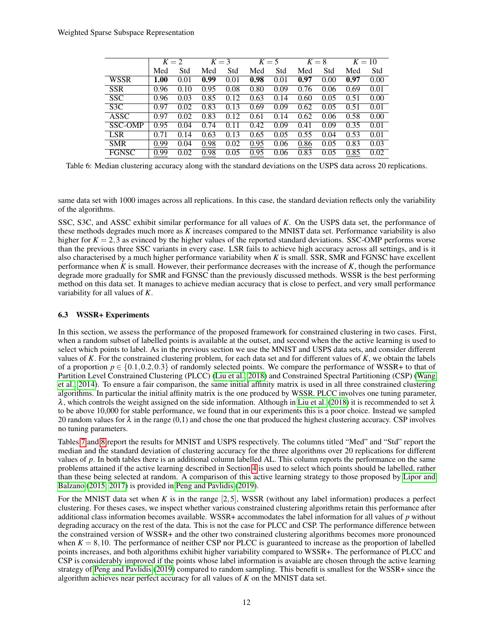|                |      | $K = 2$ | $K = 3$ |      |      | $K=5$ |      | $K=8$ |      | $K = 10$ |
|----------------|------|---------|---------|------|------|-------|------|-------|------|----------|
|                | Med  | Std     | Med     | Std  | Med  | Std   | Med  | Std   | Med  | Std      |
| <b>WSSR</b>    | 1.00 | 0.01    | 0.99    | 0.01 | 0.98 | 0.01  | 0.97 | 0.00  | 0.97 | 0.00     |
| <b>SSR</b>     | 0.96 | 0.10    | 0.95    | 0.08 | 0.80 | 0.09  | 0.76 | 0.06  | 0.69 | 0.01     |
| <b>SSC</b>     | 0.96 | 0.03    | 0.85    | 0.12 | 0.63 | 0.14  | 0.60 | 0.05  | 0.51 | 0.00     |
| S3C            | 0.97 | 0.02    | 0.83    | 0.13 | 0.69 | 0.09  | 0.62 | 0.05  | 0.51 | 0.01     |
| <b>ASSC</b>    | 0.97 | 0.02    | 0.83    | 0.12 | 0.61 | 0.14  | 0.62 | 0.06  | 0.58 | 0.00     |
| <b>SSC-OMP</b> | 0.95 | 0.04    | 0.74    | 0.11 | 0.42 | 0.09  | 0.41 | 0.09  | 0.35 | 0.01     |
| <b>LSR</b>     | 0.71 | 0.14    | 0.63    | 0.13 | 0.65 | 0.05  | 0.55 | 0.04  | 0.53 | 0.01     |
| <b>SMR</b>     | 0.99 | 0.04    | 0.98    | 0.02 | 0.95 | 0.06  | 0.86 | 0.05  | 0.83 | 0.03     |
| <b>FGNSC</b>   | 0.99 | 0.02    | 0.98    | 0.05 | 0.95 | 0.06  | 0.83 | 0.05  | 0.85 | 0.02     |

Table 6: Median clustering accuracy along with the standard deviations on the USPS data across 20 replications.

same data set with 1000 images across all replications. In this case, the standard deviation reflects only the variability of the algorithms.

SSC, S3C, and ASSC exhibit similar performance for all values of *K*. On the USPS data set, the performance of these methods degrades much more as *K* increases compared to the MNIST data set. Performance variability is also higher for  $K = 2,3$  as evinced by the higher values of the reported standard deviations. SSC-OMP performs worse than the previous three SSC variants in every case. LSR fails to achieve high accuracy across all settings, and is it also characterised by a much higher performance variability when *K* is small. SSR, SMR and FGNSC have excellent performance when *K* is small. However, their performance decreases with the increase of *K*, though the performance degrade more gradually for SMR and FGNSC than the previously discussed methods. WSSR is the best performing method on this data set. It manages to achieve median accuracy that is close to perfect, and very small performance variability for all values of *K*.

# 6.3 WSSR+ Experiments

In this section, we assess the performance of the proposed framework for constrained clustering in two cases. First, when a random subset of labelled points is available at the outset, and second when the the active learning is used to select which points to label. As in the previous section we use the MNIST and USPS data sets, and consider different values of *K*. For the constrained clustering problem, for each data set and for different values of *K*, we obtain the labels of a proportion  $p \in \{0.1, 0.2, 0.3\}$  of randomly selected points. We compare the performance of WSSR+ to that of Partition Level Constrained Clustering (PLCC) [\(Liu et al., 2018\)](#page-14-12) and Constrained Spectral Partitioning (CSP) [\(Wang](#page-14-20) [et al., 2014\)](#page-14-20). To ensure a fair comparison, the same initial affinity matrix is used in all three constrained clustering algorithms. In particular the initial affinity matrix is the one produced by WSSR. PLCC involves one tuning parameter,  $\lambda$ , which controls the weight assigned on the side information. Although in [Liu et al.](#page-14-12) [\(2018\)](#page-14-12) it is recommended to set  $\lambda$ to be above 10,000 for stable performance, we found that in our experiments this is a poor choice. Instead we sampled 20 random values for  $\lambda$  in the range (0,1) and chose the one that produced the highest clustering accuracy. CSP involves no tuning parameters.

Tables [7](#page-12-0) and [8](#page-12-1) report the results for MNIST and USPS respectively. The columns titled "Med" and "Std" report the median and the standard deviation of clustering accuracy for the three algorithms over 20 replications for different values of *p*. In both tables there is an additional column labelled AL. This column reports the performance on the same problems attained if the active learning described in Section [4](#page-5-0) is used to select which points should be labelled, rather than these being selected at random. A comparison of this active learning strategy to those proposed by [Lipor and](#page-14-15) [Balzano](#page-14-15) [\(2015,](#page-14-15) [2017\)](#page-14-7) is provided in [Peng and Pavlidis](#page-14-6) [\(2019\)](#page-14-6).

For the MNIST data set when *K* is in the range [2,5], WSSR (without any label information) produces a perfect clustering. For theses cases, we inspect whether various constrained clustering algorithms retain this performance after additional class information becomes available. WSSR+ accommodates the label information for all values of *p* without degrading accuracy on the rest of the data. This is not the case for PLCC and CSP. The performance difference between the constrained version of WSSR+ and the other two constrained clustering algorithms becomes more pronounced when  $K = 8,10$ . The performance of neither CSP nor PLCC is guaranteed to increase as the proportion of labelled points increases, and both algorithms exhibit higher variability compared to WSSR+. The performance of PLCC and CSP is considerably improved if the points whose label information is avaiable are chosen through the active learning strategy of [Peng and Pavlidis](#page-14-6) [\(2019\)](#page-14-6) compared to random sampling. This benefit is smallest for the WSSR+ since the algorithm achieves near perfect accuracy for all values of *K* on the MNIST data set.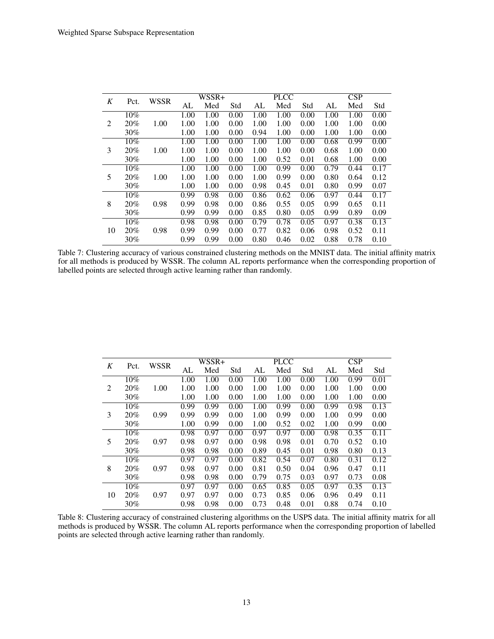<span id="page-12-0"></span>

| K  |        | WSSR |      | WSSR+ |      |      | <b>PLCC</b> |      |      | CSP  |      |
|----|--------|------|------|-------|------|------|-------------|------|------|------|------|
|    | Pct.   |      | AL   | Med   | Std  | AL   | Med         | Std  | AL   | Med  | Std  |
|    | $10\%$ |      | 1.00 | 1.00  | 0.00 | 1.00 | 1.00        | 0.00 | 1.00 | 1.00 | 0.00 |
| 2  | 20%    | 1.00 | 1.00 | 1.00  | 0.00 | 1.00 | 1.00        | 0.00 | 1.00 | 1.00 | 0.00 |
|    | $30\%$ |      | 1.00 | 1.00  | 0.00 | 0.94 | 1.00        | 0.00 | 1.00 | 1.00 | 0.00 |
|    | $10\%$ |      | 1.00 | 1.00  | 0.00 | 1.00 | 1.00        | 0.00 | 0.68 | 0.99 | 0.00 |
| 3  | 20%    | 1.00 | 1.00 | 1.00  | 0.00 | 1.00 | 1.00        | 0.00 | 0.68 | 1.00 | 0.00 |
|    | $30\%$ |      | 1.00 | 1.00  | 0.00 | 1.00 | 0.52        | 0.01 | 0.68 | 1.00 | 0.00 |
|    | 10%    |      | 1.00 | 1.00  | 0.00 | 1.00 | 0.99        | 0.00 | 0.79 | 0.44 | 0.17 |
| 5  | 20%    | 1.00 | 1.00 | 1.00  | 0.00 | 1.00 | 0.99        | 0.00 | 0.80 | 0.64 | 0.12 |
|    | $30\%$ |      | 1.00 | 1.00  | 0.00 | 0.98 | 0.45        | 0.01 | 0.80 | 0.99 | 0.07 |
|    | 10%    |      | 0.99 | 0.98  | 0.00 | 0.86 | 0.62        | 0.06 | 0.97 | 0.44 | 0.17 |
| 8  | 20%    | 0.98 | 0.99 | 0.98  | 0.00 | 0.86 | 0.55        | 0.05 | 0.99 | 0.65 | 0.11 |
|    | 30%    |      | 0.99 | 0.99  | 0.00 | 0.85 | 0.80        | 0.05 | 0.99 | 0.89 | 0.09 |
|    | $10\%$ |      | 0.98 | 0.98  | 0.00 | 0.79 | 0.78        | 0.05 | 0.97 | 0.38 | 0.13 |
| 10 | 20%    | 0.98 | 0.99 | 0.99  | 0.00 | 0.77 | 0.82        | 0.06 | 0.98 | 0.52 | 0.11 |
|    | 30%    |      | 0.99 | 0.99  | 0.00 | 0.80 | 0.46        | 0.02 | 0.88 | 0.78 | 0.10 |

Table 7: Clustering accuracy of various constrained clustering methods on the MNIST data. The initial affinity matrix for all methods is produced by WSSR. The column AL reports performance when the corresponding proportion of labelled points are selected through active learning rather than randomly.

<span id="page-12-1"></span>

| K  | Pct.   | <b>WSSR</b> |      | WSSR+ |      |      | <b>PLCC</b> |      |      | CSP  |      |
|----|--------|-------------|------|-------|------|------|-------------|------|------|------|------|
|    |        |             | AL   | Med   | Std  | AL   | Med         | Std  | AL   | Med  | Std  |
|    | 10%    |             | 1.00 | 1.00  | 0.00 | 1.00 | 1.00        | 0.00 | 1.00 | 0.99 | 0.01 |
| 2  | 20%    | 1.00        | 1.00 | 1.00  | 0.00 | 1.00 | 1.00        | 0.00 | 1.00 | 1.00 | 0.00 |
|    | 30%    |             | 1.00 | 1.00  | 0.00 | 1.00 | 1.00        | 0.00 | 1.00 | 1.00 | 0.00 |
|    | $10\%$ |             | 0.99 | 0.99  | 0.00 | 1.00 | 0.99        | 0.00 | 0.99 | 0.98 | 0.13 |
| 3  | 20%    | 0.99        | 0.99 | 0.99  | 0.00 | 1.00 | 0.99        | 0.00 | 1.00 | 0.99 | 0.00 |
|    | 30%    |             | 1.00 | 0.99  | 0.00 | 1.00 | 0.52        | 0.02 | 1.00 | 0.99 | 0.00 |
|    | $10\%$ |             | 0.98 | 0.97  | 0.00 | 0.97 | 0.97        | 0.00 | 0.98 | 0.35 | 0.11 |
| 5  | 20%    | 0.97        | 0.98 | 0.97  | 0.00 | 0.98 | 0.98        | 0.01 | 0.70 | 0.52 | 0.10 |
|    | $30\%$ |             | 0.98 | 0.98  | 0.00 | 0.89 | 0.45        | 0.01 | 0.98 | 0.80 | 0.13 |
|    | 10%    |             | 0.97 | 0.97  | 0.00 | 0.82 | 0.54        | 0.07 | 0.80 | 0.31 | 0.12 |
| 8  | 20%    | 0.97        | 0.98 | 0.97  | 0.00 | 0.81 | 0.50        | 0.04 | 0.96 | 0.47 | 0.11 |
|    | 30%    |             | 0.98 | 0.98  | 0.00 | 0.79 | 0.75        | 0.03 | 0.97 | 0.73 | 0.08 |
|    | $10\%$ |             | 0.97 | 0.97  | 0.00 | 0.65 | 0.85        | 0.05 | 0.97 | 0.35 | 0.13 |
| 10 | 20%    | 0.97        | 0.97 | 0.97  | 0.00 | 0.73 | 0.85        | 0.06 | 0.96 | 0.49 | 0.11 |
|    | 30%    |             | 0.98 | 0.98  | 0.00 | 0.73 | 0.48        | 0.01 | 0.88 | 0.74 | 0.10 |

Table 8: Clustering accuracy of constrained clustering algorithms on the USPS data. The initial affinity matrix for all methods is produced by WSSR. The column AL reports performance when the corresponding proportion of labelled points are selected through active learning rather than randomly.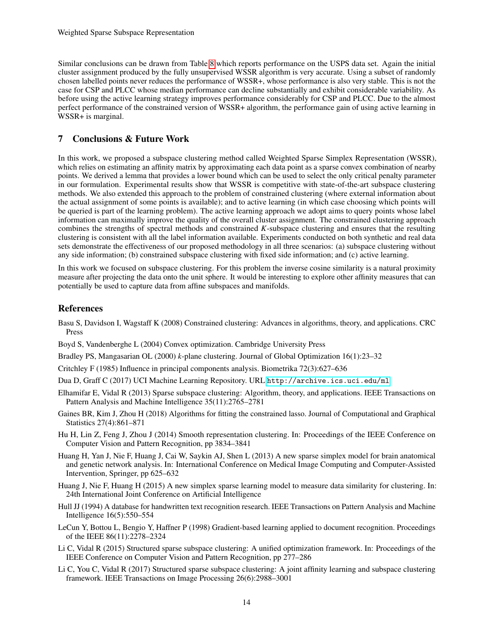Similar conclusions can be drawn from Table [8](#page-12-1) which reports performance on the USPS data set. Again the initial cluster assignment produced by the fully unsupervised WSSR algorithm is very accurate. Using a subset of randomly chosen labelled points never reduces the performance of WSSR+, whose performance is also very stable. This is not the case for CSP and PLCC whose median performance can decline substantially and exhibit considerable variability. As before using the active learning strategy improves performance considerably for CSP and PLCC. Due to the almost perfect performance of the constrained version of WSSR+ algorithm, the performance gain of using active learning in WSSR+ is marginal.

# <span id="page-13-4"></span>7 Conclusions & Future Work

In this work, we proposed a subspace clustering method called Weighted Sparse Simplex Representation (WSSR), which relies on estimating an affinity matrix by approximating each data point as a sparse convex combination of nearby points. We derived a lemma that provides a lower bound which can be used to select the only critical penalty parameter in our formulation. Experimental results show that WSSR is competitive with state-of-the-art subspace clustering methods. We also extended this approach to the problem of constrained clustering (where external information about the actual assignment of some points is available); and to active learning (in which case choosing which points will be queried is part of the learning problem). The active learning approach we adopt aims to query points whose label information can maximally improve the quality of the overall cluster assignment. The constrained clustering approach combines the strengths of spectral methods and constrained *K*-subspace clustering and ensures that the resulting clustering is consistent with all the label information available. Experiments conducted on both synthetic and real data sets demonstrate the effectiveness of our proposed methodology in all three scenarios: (a) subspace clustering without any side information; (b) constrained subspace clustering with fixed side information; and (c) active learning.

In this work we focused on subspace clustering. For this problem the inverse cosine similarity is a natural proximity measure after projecting the data onto the unit sphere. It would be interesting to explore other affinity measures that can potentially be used to capture data from affine subspaces and manifolds.

# References

- <span id="page-13-8"></span>Basu S, Davidson I, Wagstaff K (2008) Constrained clustering: Advances in algorithms, theory, and applications. CRC Press
- <span id="page-13-13"></span>Boyd S, Vandenberghe L (2004) Convex optimization. Cambridge University Press
- <span id="page-13-5"></span>Bradley PS, Mangasarian OL (2000) *k*-plane clustering. Journal of Global Optimization 16(1):23–32
- <span id="page-13-10"></span>Critchley F (1985) Influence in principal components analysis. Biometrika 72(3):627–636
- <span id="page-13-14"></span>Dua D, Graff C (2017) UCI Machine Learning Repository. URL <http://archive.ics.uci.edu/ml>
- <span id="page-13-0"></span>Elhamifar E, Vidal R (2013) Sparse subspace clustering: Algorithm, theory, and applications. IEEE Transactions on Pattern Analysis and Machine Intelligence 35(11):2765–2781
- <span id="page-13-9"></span>Gaines BR, Kim J, Zhou H (2018) Algorithms for fitting the constrained lasso. Journal of Computational and Graphical Statistics 27(4):861–871
- <span id="page-13-6"></span>Hu H, Lin Z, Feng J, Zhou J (2014) Smooth representation clustering. In: Proceedings of the IEEE Conference on Computer Vision and Pattern Recognition, pp 3834–3841
- <span id="page-13-3"></span>Huang H, Yan J, Nie F, Huang J, Cai W, Saykin AJ, Shen L (2013) A new sparse simplex model for brain anatomical and genetic network analysis. In: International Conference on Medical Image Computing and Computer-Assisted Intervention, Springer, pp 625–632
- <span id="page-13-2"></span>Huang J, Nie F, Huang H (2015) A new simplex sparse learning model to measure data similarity for clustering. In: 24th International Joint Conference on Artificial Intelligence
- <span id="page-13-12"></span>Hull JJ (1994) A database for handwritten text recognition research. IEEE Transactions on Pattern Analysis and Machine Intelligence 16(5):550–554
- <span id="page-13-11"></span>LeCun Y, Bottou L, Bengio Y, Haffner P (1998) Gradient-based learning applied to document recognition. Proceedings of the IEEE 86(11):2278–2324
- <span id="page-13-1"></span>Li C, Vidal R (2015) Structured sparse subspace clustering: A unified optimization framework. In: Proceedings of the IEEE Conference on Computer Vision and Pattern Recognition, pp 277–286
- <span id="page-13-7"></span>Li C, You C, Vidal R (2017) Structured sparse subspace clustering: A joint affinity learning and subspace clustering framework. IEEE Transactions on Image Processing 26(6):2988–3001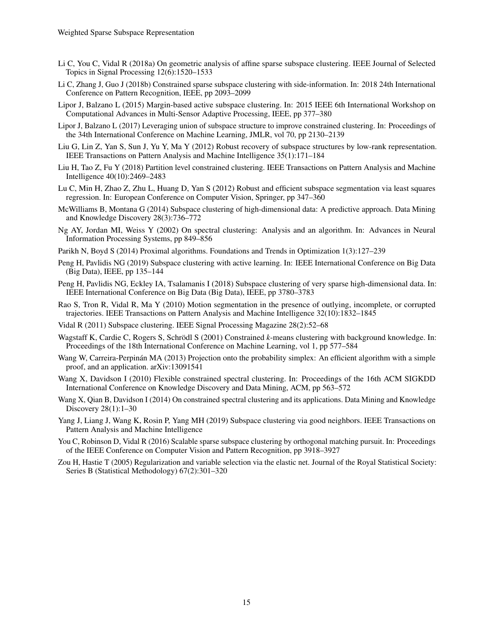- <span id="page-14-10"></span>Li C, You C, Vidal R (2018a) On geometric analysis of affine sparse subspace clustering. IEEE Journal of Selected Topics in Signal Processing 12(6):1520–1533
- <span id="page-14-13"></span>Li C, Zhang J, Guo J (2018b) Constrained sparse subspace clustering with side-information. In: 2018 24th International Conference on Pattern Recognition, IEEE, pp 2093–2099
- <span id="page-14-15"></span>Lipor J, Balzano L (2015) Margin-based active subspace clustering. In: 2015 IEEE 6th International Workshop on Computational Advances in Multi-Sensor Adaptive Processing, IEEE, pp 377–380
- <span id="page-14-7"></span>Lipor J, Balzano L (2017) Leveraging union of subspace structure to improve constrained clustering. In: Proceedings of the 34th International Conference on Machine Learning, JMLR, vol 70, pp 2130–2139
- <span id="page-14-4"></span>Liu G, Lin Z, Yan S, Sun J, Yu Y, Ma Y (2012) Robust recovery of subspace structures by low-rank representation. IEEE Transactions on Pattern Analysis and Machine Intelligence 35(1):171–184
- <span id="page-14-12"></span>Liu H, Tao Z, Fu Y (2018) Partition level constrained clustering. IEEE Transactions on Pattern Analysis and Machine Intelligence 40(10):2469–2483
- <span id="page-14-5"></span>Lu C, Min H, Zhao Z, Zhu L, Huang D, Yan S (2012) Robust and efficient subspace segmentation via least squares regression. In: European Conference on Computer Vision, Springer, pp 347–360
- <span id="page-14-0"></span>McWilliams B, Montana G (2014) Subspace clustering of high-dimensional data: A predictive approach. Data Mining and Knowledge Discovery 28(3):736–772
- <span id="page-14-9"></span>Ng AY, Jordan MI, Weiss Y (2002) On spectral clustering: Analysis and an algorithm. In: Advances in Neural Information Processing Systems, pp 849–856
- <span id="page-14-17"></span>Parikh N, Boyd S (2014) Proximal algorithms. Foundations and Trends in Optimization 1(3):127–239
- <span id="page-14-6"></span>Peng H, Pavlidis NG (2019) Subspace clustering with active learning. In: IEEE International Conference on Big Data (Big Data), IEEE, pp 135–144
- <span id="page-14-2"></span>Peng H, Pavlidis NG, Eckley IA, Tsalamanis I (2018) Subspace clustering of very sparse high-dimensional data. In: IEEE International Conference on Big Data (Big Data), IEEE, pp 3780–3783
- <span id="page-14-1"></span>Rao S, Tron R, Vidal R, Ma Y (2010) Motion segmentation in the presence of outlying, incomplete, or corrupted trajectories. IEEE Transactions on Pattern Analysis and Machine Intelligence 32(10):1832–1845
- <span id="page-14-3"></span>Vidal R (2011) Subspace clustering. IEEE Signal Processing Magazine 28(2):52–68
- <span id="page-14-14"></span>Wagstaff K, Cardie C, Rogers S, Schrödl S (2001) Constrained *k*-means clustering with background knowledge. In: Proceedings of the 18th International Conference on Machine Learning, vol 1, pp 577–584
- <span id="page-14-18"></span>Wang W, Carreira-Perpinán MA (2013) Projection onto the probability simplex: An efficient algorithm with a simple proof, and an application. arXiv:13091541
- <span id="page-14-11"></span>Wang X, Davidson I (2010) Flexible constrained spectral clustering. In: Proceedings of the 16th ACM SIGKDD International Conference on Knowledge Discovery and Data Mining, ACM, pp 563–572
- <span id="page-14-20"></span>Wang X, Qian B, Davidson I (2014) On constrained spectral clustering and its applications. Data Mining and Knowledge Discovery 28(1):1–30
- <span id="page-14-19"></span>Yang J, Liang J, Wang K, Rosin P, Yang MH (2019) Subspace clustering via good neighbors. IEEE Transactions on Pattern Analysis and Machine Intelligence
- <span id="page-14-8"></span>You C, Robinson D, Vidal R (2016) Scalable sparse subspace clustering by orthogonal matching pursuit. In: Proceedings of the IEEE Conference on Computer Vision and Pattern Recognition, pp 3918–3927
- <span id="page-14-16"></span>Zou H, Hastie T (2005) Regularization and variable selection via the elastic net. Journal of the Royal Statistical Society: Series B (Statistical Methodology) 67(2):301–320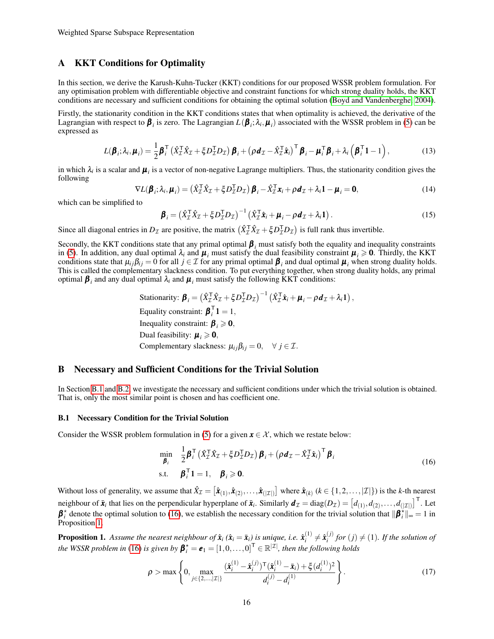### A KKT Conditions for Optimality

In this section, we derive the Karush-Kuhn-Tucker (KKT) conditions for our proposed WSSR problem formulation. For any optimisation problem with differentiable objective and constraint functions for which strong duality holds, the KKT conditions are necessary and sufficient conditions for obtaining the optimal solution [\(Boyd and Vandenberghe, 2004\)](#page-13-13).

Firstly, the stationarity condition in the KKT conditions states that when optimality is achieved, the derivative of the Lagrangian with respect to  $\pmb{\beta}_i$  is zero. The Lagrangian  $L(\pmb{\beta}_i;\lambda_i,\pmb{\mu}_i)$  associated with the WSSR problem in [\(5\)](#page-2-1) can be expressed as

$$
L(\boldsymbol{\beta}_i; \lambda_i, \boldsymbol{\mu}_i) = \frac{1}{2} \boldsymbol{\beta}_i^{\mathsf{T}} \left( \hat{X}_L^{\mathsf{T}} \hat{X}_L + \xi D_L^{\mathsf{T}} D_L \right) \boldsymbol{\beta}_i + \left( \rho \boldsymbol{d}_L - \hat{X}_L^{\mathsf{T}} \hat{\boldsymbol{x}}_i \right)^{\mathsf{T}} \boldsymbol{\beta}_i - \boldsymbol{\mu}_i^{\mathsf{T}} \boldsymbol{\beta}_i + \lambda_i \left( \boldsymbol{\beta}_i^{\mathsf{T}} \boldsymbol{1} - 1 \right), \tag{13}
$$

in which  $\lambda_i$  is a scalar and  $\mu_i$  is a vector of non-negative Lagrange multipliers. Thus, the stationarity condition gives the following

$$
\nabla L(\boldsymbol{\beta}_i; \lambda_i, \boldsymbol{\mu}_i) = \left(\hat{X}_L^T \hat{X}_L + \xi D_L^T D_L\right) \boldsymbol{\beta}_i - \hat{X}_L^T \boldsymbol{x}_i + \rho \boldsymbol{d}_L + \lambda_i \mathbf{1} - \boldsymbol{\mu}_i = \mathbf{0},\tag{14}
$$

which can be simplified to

$$
\boldsymbol{\beta}_i = \left(\hat{X}_\mathcal{I}^\top \hat{X}_\mathcal{I} + \xi D_\mathcal{I}^\top D_\mathcal{I}\right)^{-1} \left(\hat{X}_\mathcal{I}^\top \hat{\mathbf{x}}_i + \boldsymbol{\mu}_i - \rho \boldsymbol{d}_\mathcal{I} + \lambda_i \mathbf{1}\right).
$$
\n(15)

Since all diagonal entries in  $D_{\mathcal{I}}$  are positive, the matrix  $(\hat{X}_{\mathcal{I}}^T \hat{X}_{\mathcal{I}} + \xi D_{\mathcal{I}}^T D_{\mathcal{I}})$  is full rank thus invertible.

Secondly, the KKT conditions state that any primal optimal  $\beta_i$  must satisfy both the equality and inequality constraints in [\(5\)](#page-2-1). In addition, any dual optimal  $\lambda_i$  and  $\mu_i$  must satisfy the dual feasibility constraint  $\mu_i \geq 0$ . Thirdly, the KKT conditions state that  $\mu_{ij}\beta_{ij}=0$  for all  $j\in\mathcal{I}$  for any primal optimal  $\boldsymbol{\beta}_i$  and dual optimal  $\boldsymbol{\mu}_i$  when strong duality holds. This is called the complementary slackness condition. To put everything together, when strong duality holds, any primal optimal  $\beta_i$  and any dual optimal  $\lambda_i$  and  $\mu_i$  must satisfy the following KKT conditions:

Stationarity: 
$$
\boldsymbol{\beta}_i = (\hat{X}_\mathcal{I}^\mathsf{T} \hat{X}_\mathcal{I} + \xi D_\mathcal{I}^\mathsf{T} D_\mathcal{I})^{-1} (\hat{X}_\mathcal{I}^\mathsf{T} \hat{\mathbf{x}}_i + \boldsymbol{\mu}_i - \rho \boldsymbol{d}_\mathcal{I} + \lambda_i \mathbf{1}),
$$
  
\nEquality constraint:  $\boldsymbol{\beta}_i^\mathsf{T} \mathbf{1} = 1$ ,  
\nInequality constraint:  $\boldsymbol{\beta}_i \geq 0$ ,  
\nDual feasibility:  $\boldsymbol{\mu}_i \geq 0$ ,  
\nComplementary slackness:  $\mu_{ij} \beta_{ij} = 0$ ,  $\forall j \in \mathcal{I}$ .

#### <span id="page-15-0"></span>B Necessary and Sufficient Conditions for the Trivial Solution

In Section [B.1](#page-15-1) and [B.2,](#page-16-0) we investigate the necessary and sufficient conditions under which the trivial solution is obtained. That is, only the most similar point is chosen and has coefficient one.

#### <span id="page-15-1"></span>B.1 Necessary Condition for the Trivial Solution

Consider the WSSR problem formulation in [\(5\)](#page-2-1) for a given  $x \in \mathcal{X}$ , which we restate below:

<span id="page-15-2"></span>
$$
\min_{\boldsymbol{\beta}_i} \quad \frac{1}{2} \boldsymbol{\beta}_i^{\mathsf{T}} \left( \hat{X}_\mathcal{I}^{\mathsf{T}} \hat{X}_\mathcal{I} + \xi D_\mathcal{I}^{\mathsf{T}} D_\mathcal{I} \right) \boldsymbol{\beta}_i + \left( \rho \boldsymbol{d}_\mathcal{I} - \hat{X}_\mathcal{I}^{\mathsf{T}} \hat{\boldsymbol{x}}_i \right)^{\mathsf{T}} \boldsymbol{\beta}_i
$$
\ns.t. 
$$
\boldsymbol{\beta}_i^{\mathsf{T}} \boldsymbol{1} = 1, \quad \boldsymbol{\beta}_i \geqslant \boldsymbol{0}.
$$
\n(16)

Without loss of generality, we assume that  $\hat{X}_{\mathcal{I}} = [\hat{\mathbf{x}}_{(1)}, \hat{\mathbf{x}}_{(2)}, \dots, \hat{\mathbf{x}}_{(|\mathcal{I}|)}]$  where  $\hat{\mathbf{x}}_{(k)}$  ( $k \in \{1, 2, \dots, |\mathcal{I}|\}$ ) is the *k*-th nearest neighbour of  $\bar{\bm{x}}_i$  that lies on the perpendicular hyperplane of  $\bar{\bm{x}}_i$ . Similarly  $\bm{d}_{\mathcal{I}}=\text{diag}(D_{\mathcal{I}})=\left[d_{(1)},d_{(2)},\ldots,d_{(|\mathcal{I}|)}\right]^{\mathsf{T}}$ . Let  $\beta_i^*$  denote the optimal solution to [\(16\)](#page-15-2), we establish the necessary condition for the trivial solution that  $\|\beta_i^*\|_{\infty} = 1$  in Proposition [1.](#page-4-1)

**Proposition 1.** Assume the nearest neighbour of  $\hat{\boldsymbol{x}}_i$  ( $\hat{\boldsymbol{x}}_i = \bar{\boldsymbol{x}}_i$ ) is unique, i.e.  $\hat{\boldsymbol{x}}_i^{(1)}$  $\hat{\mathbf{x}}_i^{(1)} \neq \hat{\mathbf{x}}_i^{(j)}$  $i_j^{(j)}$  for  $(j) \neq (1)$ *. If the solution of the WSSR problem in* [\(16\)](#page-15-2) *is given by*  $\pmb{\beta}_i^{\star} = \pmb{e}_1 = [1,0,\ldots,0]^{\mathsf{T}} \in \mathbb{R}^{|\mathcal{I}|}$ *, then the following holds* 

<span id="page-15-3"></span>
$$
\rho > \max \left\{ 0, \max_{j \in \{2, \dots, |\mathcal{I}| \}} \frac{(\hat{\mathbf{x}}_i^{(1)} - \hat{\mathbf{x}}_i^{(j)})^\mathsf{T} (\hat{\mathbf{x}}_i^{(1)} - \bar{\mathbf{x}}_i) + \xi (d_i^{(1)})^2}{d_i^{(j)} - d_i^{(1)}} \right\}.
$$
(17)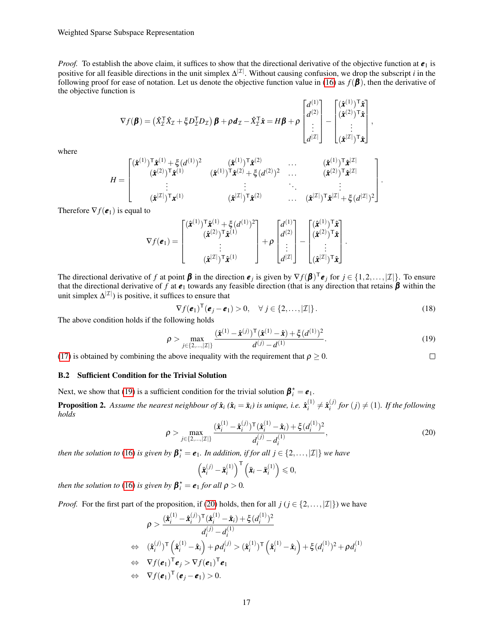*Proof.* To establish the above claim, it suffices to show that the directional derivative of the objective function at  $e_1$  is positive for all feasible directions in the unit simplex  $\Delta^{|\mathcal{I}|}$ . Without causing confusion, we drop the subscript *i* in the following proof for ease of notation. Let us denote the objective function value in [\(16\)](#page-15-2) as  $f(\boldsymbol{\beta})$ , then the derivative of the objective function is

$$
\nabla f(\boldsymbol{\beta}) = \left(\hat{X}_\mathcal{I}^\mathsf{T} \hat{X}_\mathcal{I} + \xi D_\mathcal{I}^\mathsf{T} D_\mathcal{I}\right) \boldsymbol{\beta} + \rho \boldsymbol{d}_\mathcal{I} - \hat{X}_\mathcal{I}^\mathsf{T} \hat{\boldsymbol{x}} = H \boldsymbol{\beta} + \rho \begin{bmatrix} d^{(1)} \\ d^{(2)} \\ \vdots \\ d^{|\mathcal{I}|} \end{bmatrix} - \begin{bmatrix} (\hat{\boldsymbol{x}}^{(1)})^\mathsf{T} \hat{\boldsymbol{x}} \\ (\hat{\boldsymbol{x}}^{(2)})^\mathsf{T} \hat{\boldsymbol{x}} \\ \vdots \\ (\hat{\boldsymbol{x}}^{|\mathcal{I}|})^\mathsf{T} \hat{\boldsymbol{x}} \end{bmatrix},
$$

where

$$
H = \begin{bmatrix} (\hat{\boldsymbol{x}}^{(1)})^{\mathsf{T}} \hat{\boldsymbol{x}}^{(1)} + \xi (d^{(1)})^2 & (\hat{\boldsymbol{x}}^{(1)})^{\mathsf{T}} \hat{\boldsymbol{x}}^{(2)} & \cdots & (\hat{\boldsymbol{x}}^{(1)})^{\mathsf{T}} \hat{\boldsymbol{x}}^{|\mathcal{I}|} \\ (\hat{\boldsymbol{x}}^{(2)})^{\mathsf{T}} \hat{\boldsymbol{x}}^{(1)} & (\hat{\boldsymbol{x}}^{(1)})^{\mathsf{T}} \hat{\boldsymbol{x}}^{(2)} + \xi (d^{(2)})^2 & \cdots & (\hat{\boldsymbol{x}}^{(1)})^{\mathsf{T}} \hat{\boldsymbol{x}}^{|\mathcal{I}|} \\ \vdots & \vdots & \ddots & \vdots \\ (\hat{\boldsymbol{x}}^{|\mathcal{I}|})^{\mathsf{T}} \boldsymbol{x}^{(1)} & (\hat{\boldsymbol{x}}^{|\mathcal{I}|})^{\mathsf{T}} \hat{\boldsymbol{x}}^{(2)} & \cdots & (\hat{\boldsymbol{x}}^{|\mathcal{I}|})^{\mathsf{T}} \hat{\boldsymbol{x}}^{|\mathcal{I}|} + \xi (d^{|\mathcal{I}|})^2 \end{bmatrix}
$$

Therefore  $\nabla f(\mathbf{e}_1)$  is equal to

$$
\nabla f(\boldsymbol{e}_1) = \begin{bmatrix} (\hat{\boldsymbol{x}}^{(1)})^{\mathsf{T}} \hat{\boldsymbol{x}}^{(1)} + \xi (d^{(1)})^2 \\ (\hat{\boldsymbol{x}}^{(2)})^{\mathsf{T}} \hat{\boldsymbol{x}}^{(1)} \\ \vdots \\ (\hat{\boldsymbol{x}}^{|\mathcal{I}|})^{\mathsf{T}} \hat{\boldsymbol{x}}^{(1)} \end{bmatrix} + \rho \begin{bmatrix} d^{(1)} \\ d^{(2)} \\ \vdots \\ d^{|\mathcal{I}|} \end{bmatrix} - \begin{bmatrix} (\hat{\boldsymbol{x}}^{(1)})^{\mathsf{T}} \hat{\boldsymbol{x}} \\ (\hat{\boldsymbol{x}}^{(2)})^{\mathsf{T}} \hat{\boldsymbol{x}} \\ \vdots \\ (\hat{\boldsymbol{x}}^{|\mathcal{I}|})^{\mathsf{T}} \hat{\boldsymbol{x}} \end{bmatrix}.
$$

The directional derivative of *f* at point  $\beta$  in the direction  $e_j$  is given by  $\nabla f(\beta)^T e_j$  for  $j \in \{1, 2, ..., |I|\}$ . To ensure that the directional derivative of f at  $e_1$  towards any feasible direction (that is any direction that retains  $\beta$  within the unit simplex  $\Delta^{|\mathcal{I}|}$ ) is positive, it suffices to ensure that

$$
\nabla f(\boldsymbol{e}_1)^{\mathsf{T}}(\boldsymbol{e}_j - \boldsymbol{e}_1) > 0, \quad \forall j \in \{2, ..., |\mathcal{I}|\}.
$$
 (18)

.

<span id="page-16-2"></span> $\Box$ 

The above condition holds if the following holds

<span id="page-16-1"></span>
$$
\rho > \max_{j \in \{2,\ldots,|\mathcal{I}|\}} \frac{(\hat{\mathbf{x}}^{(1)} - \hat{\mathbf{x}}^{(j)})^{\mathsf{T}} (\hat{\mathbf{x}}^{(1)} - \hat{\mathbf{x}}) + \xi (d^{(1)})^2}{d^{(j)} - d^{(1)}}.
$$
(19)

[\(17\)](#page-15-3) is obtained by combining the above inequality with the requirement that  $\rho > 0$ .

#### <span id="page-16-0"></span>B.2 Sufficient Condition for the Trivial Solution

Next, we show that [\(19\)](#page-16-1) is a sufficient condition for the trivial solution  $\beta_i^* = e_1$ .

**Proposition 2.** Assume the nearest neighbour of  $\hat{\boldsymbol{x}}_i$  ( $\hat{\boldsymbol{x}}_i = \bar{\boldsymbol{x}}_i$ ) is unique, i.e.  $\hat{\boldsymbol{x}}_i^{(1)}$  $\hat{\mathbf{x}}_i^{(1)} \neq \hat{\mathbf{x}}_i^{(j)}$  $f_i^{(J)}$  for  $(j) \neq (1)$ *. If the following holds*

$$
\rho > \max_{j \in \{2,\dots,|\mathcal{I}|\}} \frac{(\hat{\mathbf{x}}_i^{(1)} - \hat{\mathbf{x}}_i^{(j)})^\mathsf{T} (\hat{\mathbf{x}}_i^{(1)} - \hat{\mathbf{x}}_i) + \xi (d_i^{(1)})^2}{d_i^{(j)} - d_i^{(1)}},\tag{20}
$$

*then the solution to* [\(16\)](#page-15-2) *is given by*  $\boldsymbol{\beta}_i^{\star} = \boldsymbol{e}_1$ *. In addition, if for all*  $j \in \{2, ..., |\mathcal{I}|\}$  *we have* 

$$
\left(\bar{\boldsymbol{x}}_i^{(j)}-\bar{\boldsymbol{x}}_i^{(1)}\right)^{\mathsf{T}}\left(\bar{\boldsymbol{x}}_i-\bar{\boldsymbol{x}}_i^{(1)}\right)\leqslant 0,
$$

*then the solution to* [\(16\)](#page-15-2) *is given by*  $\boldsymbol{\beta}_i^{\star} = \boldsymbol{e}_1$  *for all*  $\rho > 0$ *.* 

*Proof.* For the first part of the proposition, if [\(20\)](#page-16-2) holds, then for all *j* (*j* ∈ {2,...,| $\mathcal{I}$ |}) we have

$$
\rho > \frac{(\hat{\boldsymbol{x}}_i^{(1)} - \hat{\boldsymbol{x}}_i^{(j)})^\top (\hat{\boldsymbol{x}}_i^{(1)} - \hat{\boldsymbol{x}}_i) + \xi (d_i^{(1)})^2}{d_i^{(j)} - d_i^{(1)}}
$$
\n
$$
\Leftrightarrow (\hat{\boldsymbol{x}}_i^{(j)})^\top (\hat{\boldsymbol{x}}_i^{(1)} - \hat{\boldsymbol{x}}_i) + \rho d_i^{(j)} > (\hat{\boldsymbol{x}}_i^{(1)})^\top (\hat{\boldsymbol{x}}_i^{(1)} - \hat{\boldsymbol{x}}_i) + \xi (d_i^{(1)})^2 + \rho d_i^{(1)}
$$
\n
$$
\Leftrightarrow \nabla f(\boldsymbol{e}_1)^\top \boldsymbol{e}_j > \nabla f(\boldsymbol{e}_1)^\top \boldsymbol{e}_1
$$
\n
$$
\Leftrightarrow \nabla f(\boldsymbol{e}_1)^\top (\boldsymbol{e}_j - \boldsymbol{e}_1) > 0.
$$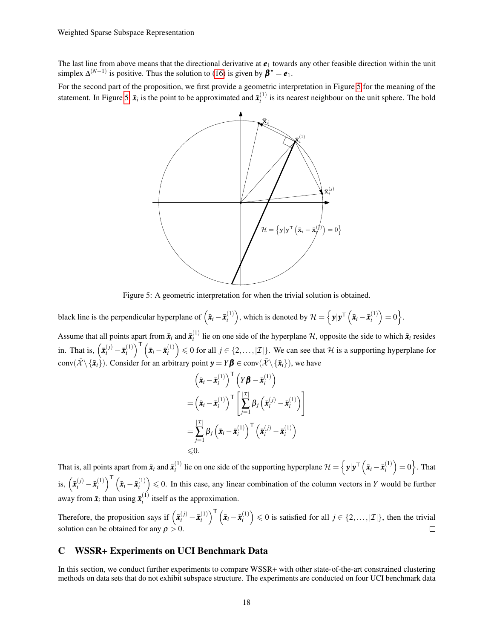The last line from above means that the directional derivative at  $e_1$  towards any other feasible direction within the unit simplex  $\Delta^{(N-1)}$  is positive. Thus the solution to [\(16\)](#page-15-2) is given by  $\beta^* = e_1$ .

<span id="page-17-0"></span>For the second part of the proposition, we first provide a geometric interpretation in Figure [5](#page-17-0) for the meaning of the statement. In Figure [5,](#page-17-0)  $\bar{x}_i$  is the point to be approximated and  $\bar{x}_i^{(1)}$  $i_i^{(1)}$  is its nearest neighbour on the unit sphere. The bold



Figure 5: A geometric interpretation for when the trivial solution is obtained.

black line is the perpendicular hyperplane of  $(\bar{x}_i - \bar{x}_i^{(1)})$  $\mathcal{H}^{(1)}$  ), which is denoted by  $\mathcal{H} = \left\{ \mathbf{y} | \mathbf{y}^{\mathsf{T}} \left( \bar{\mathbf{x}}_i - \bar{\mathbf{x}}_i^{(1)} \right) \right\}$  $\begin{pmatrix} 1 \ i \end{pmatrix} = 0$ .

Assume that all points apart from  $\bar{x}_i$  and  $\bar{x}_i^{(1)}$  $\vec{r}_i$  lie on one side of the hyperplane H, opposite the side to which  $\vec{x}_i$  resides in. That is,  $(\bar{x}_i^{(j)} - \bar{x}_i^{(1)})$  $\left(\bar{\mathbf{x}}_i\right)^{\mathsf{T}}\left(\bar{\mathbf{x}}_i - \bar{\mathbf{x}}_i^{(1)}\right)$  $\binom{1}{i}$   $\leq 0$  for all  $j \in \{2, ..., |\mathcal{I}|\}$ . We can see that  $\mathcal H$  is a supporting hyperplane for conv $(\bar{\mathcal{X}} \setminus {\{\bar{\mathbf{x}}_i\}})$ . Consider for an arbitrary point  $\mathbf{y} = Y\boldsymbol{\beta} \in \text{conv}(\bar{\mathcal{X}} \setminus {\{\bar{\mathbf{x}}_i\}})$ , we have

$$
\begin{aligned}\n&\left(\bar{\mathbf{x}}_i - \bar{\mathbf{x}}_i^{(1)}\right)^{\mathsf{T}} \left(Y\boldsymbol{\beta} - \bar{\mathbf{x}}_i^{(1)}\right) \\
&= \left(\bar{\mathbf{x}}_i - \bar{\mathbf{x}}_i^{(1)}\right)^{\mathsf{T}} \left[\sum_{j=1}^{\vert \mathcal{I} \vert} \beta_j \left(\bar{\mathbf{x}}_i^{(j)} - \bar{\mathbf{x}}_i^{(1)}\right)\right] \\
&= \sum_{j=1}^{\vert \mathcal{I} \vert} \beta_j \left(\bar{\mathbf{x}}_i - \bar{\mathbf{x}}_i^{(1)}\right)^{\mathsf{T}} \left(\bar{\mathbf{x}}_i^{(j)} - \bar{\mathbf{x}}_i^{(1)}\right) \\
&\leq 0.\n\end{aligned}
$$

That is, all points apart from  $\bar{\boldsymbol{x}}_i$  and  $\bar{\boldsymbol{x}}_i^{(1)}$ *i*<sup>1</sup>) lie on one side of the supporting hyperplane  $\mathcal{H} = \left\{ y | y^\mathsf{T} \left( \bar{x}_i - \bar{x}_i^{(1)} \right) \right\}$  $\binom{1}{i} = 0$ . That is,  $(\bar{x}_i^{(j)} - \bar{x}_i^{(1)})$  $\left(\bar{\mathbf{x}}_i\right)^{\mathsf{T}}\left(\bar{\mathbf{x}}_i - \bar{\mathbf{x}}_i^{(1)}\right)$  $\binom{1}{i}$   $\leq 0$ . In this case, any linear combination of the column vectors in *Y* would be further away from  $\bar{x}_i$  than using  $\bar{x}_i^{(1)}$  $i_i^{(1)}$  itself as the approximation.

Therefore, the proposition says if  $(\bar{x}_i^{(j)} - \bar{x}_i^{(1)})$  $\begin{bmatrix} 1 \ i \end{bmatrix}^{\mathsf{T}} \left( \bar{\bm{x}}_i - \bar{\bm{x}}_i^{(1)} \right)$  $\binom{1}{i}$   $\leq 0$  is satisfied for all  $j \in \{2, ..., |\mathcal{I}|\}$ , then the trivial solution can be obtained for any  $\rho > 0$ .

# C WSSR+ Experiments on UCI Benchmark Data

In this section, we conduct further experiments to compare WSSR+ with other state-of-the-art constrained clustering methods on data sets that do not exhibit subspace structure. The experiments are conducted on four UCI benchmark data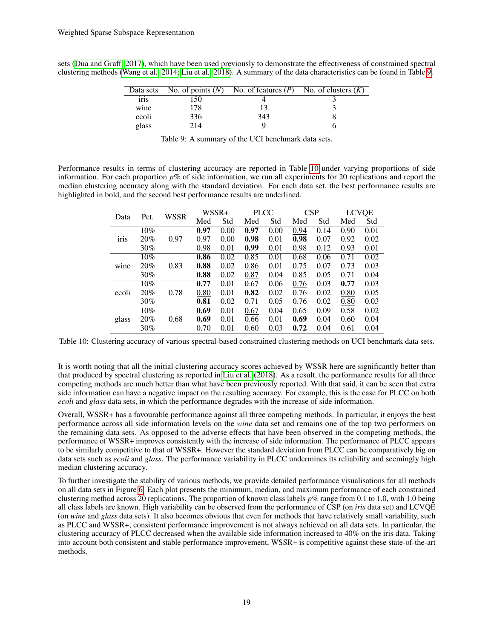<span id="page-18-0"></span>sets [\(Dua and Graff, 2017\)](#page-13-14), which have been used previously to demonstrate the effectiveness of constrained spectral clustering methods [\(Wang et al., 2014;](#page-14-20) [Liu et al., 2018\)](#page-14-12). A summary of the data characteristics can be found in Table [9.](#page-18-0)

|                   |     | Data sets No. of points $(N)$ No. of features $(P)$ No. of clusters $(K)$ |  |
|-------------------|-----|---------------------------------------------------------------------------|--|
| 1r <sub>1</sub> s | 50  |                                                                           |  |
| wine              | '78 |                                                                           |  |
| ecoli             | 336 | 343                                                                       |  |
| glass             | 214 |                                                                           |  |

|  | Table 9: A summary of the UCI benchmark data sets. |  |
|--|----------------------------------------------------|--|
|--|----------------------------------------------------|--|

<span id="page-18-1"></span>Performance results in terms of clustering accuracy are reported in Table [10](#page-18-1) under varying proportions of side information. For each proportion *p*% of side information, we run all experiments for 20 replications and report the median clustering accuracy along with the standard deviation. For each data set, the best performance results are highlighted in bold, and the second best performance results are underlined.

| Data  | Pct. | <b>WSSR</b> |      | WSSR+ | <b>PLCC</b> |      |      | CSP  |      | <b>LCVQE</b> |
|-------|------|-------------|------|-------|-------------|------|------|------|------|--------------|
|       |      |             | Med  | Std   | Med         | Std  | Med  | Std  | Med  | Std          |
|       | 10%  |             | 0.97 | 0.00  | 0.97        | 0.00 | 0.94 | 0.14 | 0.90 | 0.01         |
| iris  | 20%  | 0.97        | 0.97 | 0.00  | 0.98        | 0.01 | 0.98 | 0.07 | 0.92 | 0.02         |
|       | 30%  |             | 0.98 | 0.01  | 0.99        | 0.01 | 0.98 | 0.12 | 0.93 | 0.01         |
|       | 10%  |             | 0.86 | 0.02  | 0.85        | 0.01 | 0.68 | 0.06 | 0.71 | 0.02         |
| wine  | 20%  | 0.83        | 0.88 | 0.02  | 0.86        | 0.01 | 0.75 | 0.07 | 0.73 | 0.03         |
|       | 30%  |             | 0.88 | 0.02  | 0.87        | 0.04 | 0.85 | 0.05 | 0.71 | 0.04         |
|       | 10%  |             | 0.77 | 0.01  | 0.67        | 0.06 | 0.76 | 0.03 | 0.77 | 0.03         |
| ecoli | 20%  | 0.78        | 0.80 | 0.01  | 0.82        | 0.02 | 0.76 | 0.02 | 0.80 | 0.05         |
|       | 30%  |             | 0.81 | 0.02  | 0.71        | 0.05 | 0.76 | 0.02 | 0.80 | 0.03         |
|       | 10%  |             | 0.69 | 0.01  | 0.67        | 0.04 | 0.65 | 0.09 | 0.58 | 0.02         |
| glass | 20%  | 0.68        | 0.69 | 0.01  | 0.66        | 0.01 | 0.69 | 0.04 | 0.60 | 0.04         |
|       | 30%  |             | 0.70 | 0.01  | 0.60        | 0.03 | 0.72 | 0.04 | 0.61 | 0.04         |

Table 10: Clustering accuracy of various spectral-based constrained clustering methods on UCI benchmark data sets.

It is worth noting that all the initial clustering accuracy scores achieved by WSSR here are significantly better than that produced by spectral clustering as reported in [Liu et al.](#page-14-12) [\(2018\)](#page-14-12). As a result, the performance results for all three competing methods are much better than what have been previously reported. With that said, it can be seen that extra side information can have a negative impact on the resulting accuracy. For example, this is the case for PLCC on both *ecoli* and *glass* data sets, in which the performance degrades with the increase of side information.

Overall, WSSR+ has a favourable performance against all three competing methods. In particular, it enjoys the best performance across all side information levels on the *wine* data set and remains one of the top two performers on the remaining data sets. As opposed to the adverse effects that have been observed in the competing methods, the performance of WSSR+ improves consistently with the increase of side information. The performance of PLCC appears to be similarly competitive to that of WSSR+. However the standard deviation from PLCC can be comparatively big on data sets such as *ecoli* and *glass*. The performance variability in PLCC undermines its reliability and seemingly high median clustering accuracy.

To further investigate the stability of various methods, we provide detailed performance visualisations for all methods on all data sets in Figure [6.](#page-19-0) Each plot presents the minimum, median, and maximum performance of each constrained clustering method across 20 replications. The proportion of known class labels *p*% range from 0.1 to 1.0, with 1.0 being all class labels are known. High variability can be observed from the performance of CSP (on *iris* data set) and LCVQE (on *wine* and *glass* data sets). It also becomes obvious that even for methods that have relatively small variability, such as PLCC and WSSR+, consistent performance improvement is not always achieved on all data sets. In particular, the clustering accuracy of PLCC decreased when the available side information increased to 40% on the iris data. Taking into account both consistent and stable performance improvement, WSSR+ is competitive against these state-of-the-art methods.